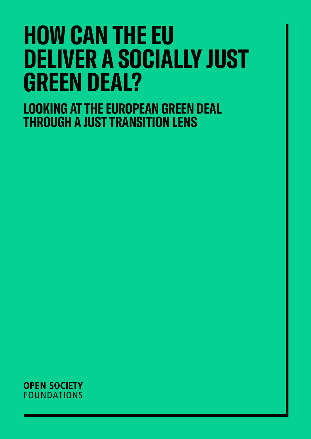# **HOW CAN THE EU DELIVER A SOCIALLY JUST GREEN DEAL?**

**LOOKING AT THE EUROPEAN GREEN DEAL THROUGH A JUST TRANSITION LENS**

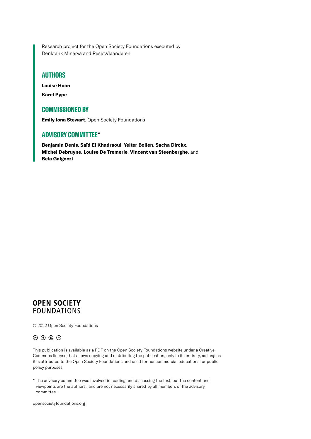Research project for the Open Society Foundations executed by Denktank Minerva and Reset.Vlaanderen

### **AUTHORS**

**Louise Hoon**

**Karel Pype**

### **COMMISSIONED BY**

**Emily Iona Stewart**, Open Society Foundations

## **ADVISORY COMMITTEE**\*

**Benjamin Denis**, **Saïd El Khadraoui**, **Yelter Bollen**, **Sacha Dirckx**, **Michel Debruyne**, **Louise De Tremerie**, **Vincent van Steenberghe**, and **Bela Galgoczi**

## **OPEN SOCIETY FOUNDATIONS**

© 2022 Open Society Foundations

### $\circledcirc$   $\circledcirc$   $\circledcirc$

This publication is available as a PDF on the Open Society Foundations website under a Creative Commons license that allows copying and distributing the publication, only in its entirety, as long as it is attributed to the Open Society Foundations and used for noncommercial educational or public policy purposes.

\* The advisory committee was involved in reading and discussing the text, but the content and viewpoints are the authors', and are not necessarily shared by all members of the advisory committee.

[opensocietyfoundations.org](http://opensocietyfoundations.org)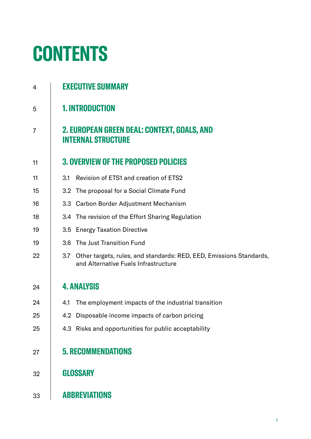# **CONTENTS**

| 4              | <b>EXECUTIVE SUMMARY</b>                                                                                           |  |  |
|----------------|--------------------------------------------------------------------------------------------------------------------|--|--|
| 5              | <b>1. INTRODUCTION</b>                                                                                             |  |  |
| $\overline{7}$ | 2. EUROPEAN GREEN DEAL: CONTEXT, GOALS, AND<br><b>INTERNAL STRUCTURE</b>                                           |  |  |
| 11             | <b>3. OVERVIEW OF THE PROPOSED POLICIES</b>                                                                        |  |  |
| 11             | Revision of ETS1 and creation of ETS2<br>3.1                                                                       |  |  |
| 15             | 3.2 The proposal for a Social Climate Fund                                                                         |  |  |
| 16             | 3.3 Carbon Border Adjustment Mechanism                                                                             |  |  |
| 18             | 3.4 The revision of the Effort Sharing Regulation                                                                  |  |  |
| 19             | <b>Energy Taxation Directive</b><br>3.5                                                                            |  |  |
| 19             | 3.6 The Just Transition Fund                                                                                       |  |  |
| 22             | Other targets, rules, and standards: RED, EED, Emissions Standards,<br>3.7<br>and Alternative Fuels Infrastructure |  |  |
| 24             | <b>4. ANALYSIS</b>                                                                                                 |  |  |
| 24             | The employment impacts of the industrial transition<br>4.1                                                         |  |  |
| 25             | 4.2 Disposable income impacts of carbon pricing                                                                    |  |  |
| 25             | 4.3 Risks and opportunities for public acceptability                                                               |  |  |
| 27             | <b>5. RECOMMENDATIONS</b>                                                                                          |  |  |
| 32             | <b>GLOSSARY</b>                                                                                                    |  |  |
| 33             | <b>ABBREVIATIONS</b>                                                                                               |  |  |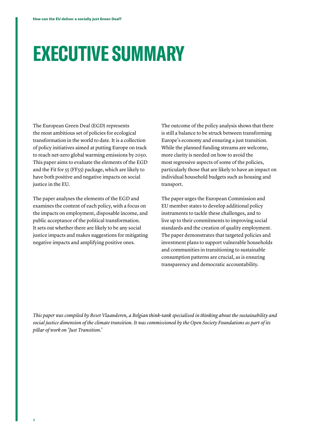# <span id="page-3-0"></span>**EXECUTIVE SUMMARY**

The European Green Deal (EGD) represents the most ambitious set of policies for ecological transformation in the world to date. It is a collection of policy initiatives aimed at putting Europe on track to reach net-zero global warming emissions by 2050. This paper aims to evaluate the elements of the EGD and the Fit for 55 (FF55) package, which are likely to have both positive and negative impacts on social justice in the EU.

The paper analyses the elements of the EGD and examines the content of each policy, with a focus on the impacts on employment, disposable income, and public acceptance of the political transformation. It sets out whether there are likely to be any social justice impacts and makes suggestions for mitigating negative impacts and amplifying positive ones.

The outcome of the policy analysis shows that there is still a balance to be struck between transforming Europe's economy and ensuring a just transition. While the planned funding streams are welcome, more clarity is needed on how to avoid the most regressive aspects of some of the policies, particularly those that are likely to have an impact on individual household budgets such as housing and transport.

The paper urges the European Commission and EU member states to develop additional policy instruments to tackle these challenges, and to live up to their commitments to improving social standards and the creation of quality employment. The paper demonstrates that targeted policies and investment plans to support vulnerable households and communities in transitioning to sustainable consumption patterns are crucial, as is ensuring transparency and democratic accountability.

*This paper was compiled by Reset Vlaanderen, a Belgian think-tank specialised in thinking about the sustainability and social justice dimension of the climate transition. It was commissioned by the Open Society Foundations as part of its pillar of work on 'Just Transition.'*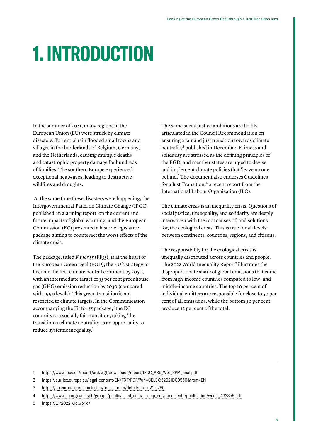# <span id="page-4-0"></span>**1. INTRODUCTION**

In the summer of 2021, many regions in the European Union (EU) were struck by climate disasters. Torrential rain flooded small towns and villages in the borderlands of Belgium, Germany, and the Netherlands, causing multiple deaths and catastrophic property damage for hundreds of families. The southern Europe experienced exceptional heatwaves, leading to destructive wildfires and droughts.

 At the same time these disasters were happening, the Intergovernmental Panel on Climate Change (IPCC) published an alarming report<sup>1</sup> on the current and future impacts of global warming, and the European Commission (EC) presented a historic legislative package aiming to counteract the worst effects of the climate crisis.

The package, titled *Fit for 55* (FF55), is at the heart of the European Green Deal (EGD); the EU's strategy to become the first climate neutral continent by 2050, with an intermediate target of 55 per cent greenhouse gas (GHG) emission reduction by 2030 (compared with 1990 levels). This green transition is not restricted to climate targets. In the Communication accompanying the Fit for  $55$  package,<sup>2</sup> the EC commits to a socially fair transition, taking 'the transition to climate neutrality as an opportunity to reduce systemic inequality.'

The same social justice ambitions are boldly articulated in the Council Recommendation on ensuring a fair and just transition towards climate neutrality<sup>3</sup> published in December. Fairness and solidarity are stressed as the defining principles of the EGD, and member states are urged to devise and implement climate policies that 'leave no one behind.' The document also endorses Guidelines for a Just Transition, $4$  a recent report from the International Labour Organization (ILO).

The climate crisis is an inequality crisis. Questions of social justice, (in)equality, and solidarity are deeply interwoven with the root causes of, and solutions for, the ecological crisis. This is true for all levels: between continents, countries, regions, and citizens.

The responsibility for the ecological crisis is unequally distributed across countries and people. The 2022 World Inequality Report<sup>5</sup> illustrates the disproportionate share of global emissions that come from high-income countries compared to low- and middle-income countries. The top 10 per cent of individual emitters are responsible for close to 50 per cent of all emissions, while the bottom 50 per cent produce 12 per cent of the total.

- 2 <https://eur-lex.europa.eu/legal-content/EN/TXT/PDF/?uri=CELEX:52021DC0550&from=EN>
- 3 [https://ec.europa.eu/commission/presscorner/detail/en/ip\\_21\\_6795](https://ec.europa.eu/commission/presscorner/detail/en/ip_21_6795)
- 4 [https://www.ilo.org/wcmsp5/groups/public/---ed\\_emp/---emp\\_ent/documents/publication/wcms\\_432859.pdf](https://www.ilo.org/wcmsp5/groups/public/---ed_emp/---emp_ent/documents/publication/wcms_432859.pdf)
- 5 <https://wir2022.wid.world/>

<sup>1</sup> [https://www.ipcc.ch/report/ar6/wg1/downloads/report/IPCC\\_AR6\\_WGI\\_SPM\\_final.pdf](https://www.ipcc.ch/report/ar6/wg1/downloads/report/IPCC_AR6_WGI_SPM_final.pdf)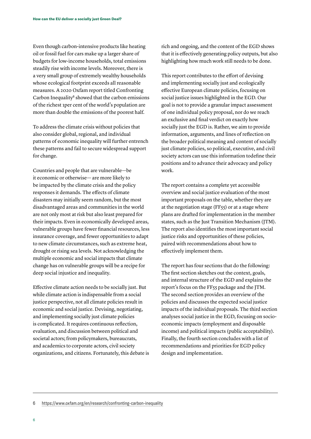Even though carbon-intensive products like heating oil or fossil fuel for cars make up a larger share of budgets for low-income households, total emissions steadily rise with income levels. Moreover, there is a very small group of extremely wealthy households whose ecological footprint exceeds all reasonable measures. A 2020 Oxfam report titled Confronting Carbon Inequality<sup>6</sup> showed that the carbon emissions of the richest 1per cent of the world's population are more than double the emissions of the poorest half.

To address the climate crisis without policies that also consider global, regional, and individual patterns of economic inequality will further entrench these patterns and fail to secure widespread support for change.

Countries and people that are vulnerable—be it economic or otherwise— are more likely to be impacted by the climate crisis and the policy responses it demands. The effects of climate disasters may initially seem random, but the most disadvantaged areas and communities in the world are not only most at risk but also least prepared for their impacts. Even in economically developed areas, vulnerable groups have fewer financial resources, less insurance coverage, and fewer opportunities to adapt to new climate circumstances, such as extreme heat, drought or rising sea levels. Not acknowledging the multiple economic and social impacts that climate change has on vulnerable groups will be a recipe for deep social injustice and inequality.

Effective climate action needs to be socially just. But while climate action is indispensable from a social justice perspective, not all climate policies result in economic and social justice. Devising, negotiating, and implementing socially just climate policies is complicated. It requires continuous reflection, evaluation, and discussion between political and societal actors; from policymakers, bureaucrats, and academics to corporate actors, civil society organizations, and citizens. Fortunately, this debate is rich and ongoing, and the content of the EGD shows that it is effectively generating policy outputs, but also highlighting how much work still needs to be done.

This report contributes to the effort of devising and implementing socially just and ecologically effective European climate policies, focusing on social justice issues highlighted in the EGD. Our goal is not to provide a granular impact assessment of one individual policy proposal, nor do we reach an exclusive and final verdict on exactly how socially just the EGD is. Rather, we aim to provide information, arguments, and lines of reflection on the broader political meaning and content of socially just climate policies, so political, executive, and civil society actors can use this information todefine their positions and to advance their advocacy and policy work.

The report contains a complete yet accessible overview and social justice evaluation of the most important proposals on the table, whether they are at the negotiation stage (FF55) or at a stage where plans are drafted for implementation in the member states, such as the Just Transition Mechanism (JTM). The report also identifies the most important social justice risks and opportunities of these policies, paired with recommendations about how to effectively implement them.

The report has four sections that do the following: The first section sketches out the context, goals, and internal structure of the EGD and explains the report's focus on the FF55 package and the JTM. The second section provides an overview of the policies and discusses the expected social justice impacts of the individual proposals. The third section analyses social justice in the EGD, focusing on socioeconomic impacts (employment and disposable income) and political impacts (public acceptability). Finally, the fourth section concludes with a list of recommendations and priorities for EGD policy design and implementation.

6 <https://www.oxfam.org/en/research/confronting-carbon-inequality>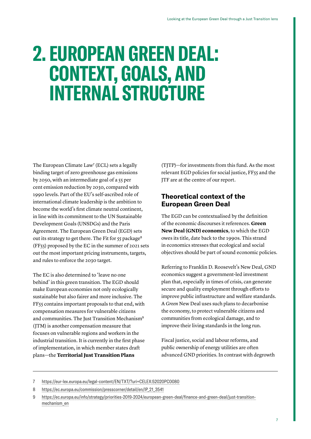# <span id="page-6-0"></span>**2. EUROPEAN GREEN DEAL: CONTEXT, GOALS, AND INTERNAL STRUCTURE**

The European Climate  $Law<sup>7</sup>$  (ECL) sets a legally binding target of zero greenhouse gas emissions by 2050, with an intermediate goal of a 55 per cent emission reduction by 2030, compared with 1990 levels. Part of the EU's self-ascribed role of international climate leadership is the ambition to become the world's first climate neutral continent, in line with its commitment to the UN Sustainable Development Goal[s](https://sdgs.un.org/goals) [\(UNSDGs\)](https://sdgs.un.org/goals) and th[e](https://unfccc.int/sites/default/files/english_paris_agreement.pdf) Paris Agreement. The European Green Deal (EGD) sets out its strategy to get there. The Fit for 55 package<sup>8</sup> (FF55) proposed by the EC in the summer of 2021 sets out the most important pricing instruments, targets, and rules to enforce the 2030 target.

The EC is also determined to 'leave no one behind' in this green transition. The EGD should make European economies not only ecologically sustainable but also fairer and more inclusive. The FF55 contains important proposals to that end, with compensation measures for vulnerable citizens and communities. The Just Transition Mechanism<sup>9</sup> (JTM) is another compensation measure that focuses on vulnerable regions and workers in the industrial transition. It is currently in the first phase of implementation, in which member states draft plans—the **Territorial Just Transition Plans**

(TJTP)—for investments from this fund. As the most relevant EGD policies for social justice, FF55 and the JTF are at the centre of our report.

## **Theoretical context of the European Green Deal**

The EGD can be contextualised by the definition of the economic discourses it references. **Green New Deal (GND) economics**, to which the EGD owes its title, date back to the 1990s. This strand in economics stresses that ecological and social objectives should be part of sound economic policies.

Referring to Franklin D. Roosevelt's New Deal, GND economics suggest a government-led investment plan that, especially in times of crisis, can generate secure and quality employment through efforts to improve public infrastructure and welfare standards. A *Green* New Deal uses such plans to decarbonise the economy, to protect vulnerable citizens and communities from ecological damage, and to improve their living standards in the long run.

Fiscal justice, social and labour reforms, and public ownership of energy utilities are often advanced GND priorities. In contrast with degrowth

- 7 <https://eur-lex.europa.eu/legal-content/EN/TXT/?uri=CELEX:52020PC0080>
- 8 https://ec.europa.eu/commission/presscorner/detail/en/IP\_21\_3541

<sup>9</sup> [https://ec.europa.eu/info/strategy/priorities-2019-2024/european-green-deal/finance-and-green-deal/just-transition](https://ec.europa.eu/info/strategy/priorities-2019-2024/european-green-deal/finance-and-green-deal/just-transition-mechanism_en)[mechanism\\_en](https://ec.europa.eu/info/strategy/priorities-2019-2024/european-green-deal/finance-and-green-deal/just-transition-mechanism_en)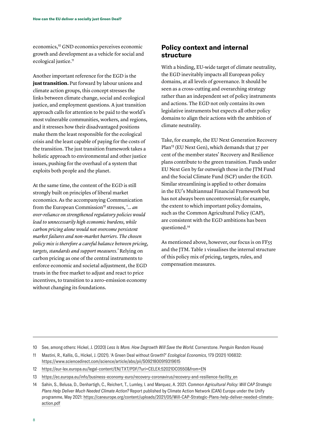economics,10 GND economics perceives economic growth and development as a vehicle for social and ecological justice.<sup>11</sup>

Another important reference for the EGD is the **just transition.** Put forward by labour unions and climate action groups, this concept stresses the links between climate change, social and ecological justice, and employment questions. A just transition approach calls for attention to be paid to the world's most vulnerable communities, workers, and regions, and it stresses how their disadvantaged positions make them the least responsible for the ecological crisis and the least capable of paying for the costs of the transition. The just transition framework takes a holistic approach to environmental and other justice issues, pushing for the overhaul of a system that exploits both people and the planet.

At the same time, the content of the EGD is still strongly built on principles of liberal market economics. As the accompanyin[g](https://eur-lex.europa.eu/legal-content/EN/TXT/PDF/?uri=CELEX:52021DC0550&from=EN) Communication from the European Commission<sup>12</sup> stresses, '... an *over-reliance on strengthened regulatory policies would lead to unnecessarily high economic burdens, while carbon pricing alone would not overcome persistent market failures and non-market barriers. The chosen policy mix is therefore a careful balance between pricing, targets, standards and support measures.'* Relying on carbon pricing as one of the central instruments to enforce economic and societal adjustment, the EGD trusts in the free market to adjust and react to price incentives, to transition to a zero-emission economy without changing its foundations.

## **Policy context and internal structure**

With a binding, EU-wide target of climate neutrality, the EGD inevitably impacts all European policy domains, at all levels of governance. It should be seen as a cross-cutting and overarching strategy rather than an independent set of policy instruments and actions. The EGD not only contains its own legislative instruments but expects all other policy domains to align their actions with the ambition of climate neutrality.

Take, for example, the EU Next Generation Recovery Plan13 (EU Next Gen), which demands that 37 per cent of the member states' Recovery and Resilience plans contribute to the green transition. Funds under EU Next Gen by far outweigh those in the JTM Fund and the Social Climate Fund (SCF) under the EGD. Similar streamlining is applied to other domains in the EU's Multiannual Financial Framework but has not always been uncontroversial; for example, the extent to which important policy domains, such as the Common Agricultural Policy (CAP), are consistent with the EGD ambitions has been questioned.<sup>14</sup>

As mentioned above, however, our focus is on FF55 and the JTM. Table 1 visualises the internal structure of this policy mix of pricing, targets, rules, and compensation measures.

<sup>10</sup> See, among others: Hickel, J. (2020) *Less Is More. How Degrowth Will Save the World*. Cornerstone. Penguin Random House)

<sup>11</sup> Mastini, R., Kallis, G., Hickel, J. (2021). 'A Green Deal without Growth?' *Ecological Economics*, 179 (2021) 106832: <https://www.sciencedirect.com/science/article/abs/pii/S0921800919319615>

<sup>12</sup> <https://eur-lex.europa.eu/legal-content/EN/TXT/PDF/?uri=CELEX:52021DC0550&from=EN>

<sup>13</sup> [https://ec.europa.eu/info/business-economy-euro/recovery-coronavirus/recovery-and-resilience-facility\\_en](https://ec.europa.eu/info/business-economy-euro/recovery-coronavirus/recovery-and-resilience-facility_en)

<sup>14</sup> Sahin, S., Belusa, D., Denhartigh, C., Reichert, T., Lumley, I. and Marquez, A. 2021. *Common Agricultural Policy: Will CAP Strategic Plans Help Deliver Much Needed Climate Action?* Report published by Climate Action Network (CAN) Europe under the Unify programme, May 2021: [https://caneurope.org/content/uploads/2021/05/Will-CAP-Strategic-Plans-help-deliver-needed-climate](https://caneurope.org/content/uploads/2021/05/Will-CAP-Strategic-Plans-help-deliver-needed-climate-action.pdf)[action.pdf](https://caneurope.org/content/uploads/2021/05/Will-CAP-Strategic-Plans-help-deliver-needed-climate-action.pdf)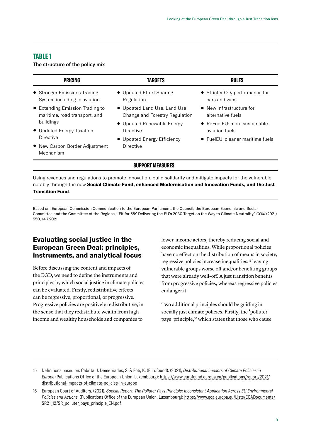### **TABLE 1**

The structure of the policy mix

| <b>PRICING</b>                                           | <b>TARGETS</b>                           | <b>RULES</b>                                       |  |  |
|----------------------------------------------------------|------------------------------------------|----------------------------------------------------|--|--|
| • Stronger Emissions Trading                             | • Updated Effort Sharing                 | $\bullet$ Stricter CO <sub>2</sub> performance for |  |  |
| System including in aviation                             | Regulation                               | cars and vans                                      |  |  |
| • Extending Emission Trading to                          | • Updated Land Use, Land Use             | • New infrastructure for                           |  |  |
| maritime, road transport, and                            | Change and Forestry Regulation           | alternative fuels                                  |  |  |
| buildings                                                | • Updated Renewable Energy               | • ReFuelEU: more sustainable                       |  |  |
| • Updated Energy Taxation                                | Directive                                | aviation fuels                                     |  |  |
| Directive<br>• New Carbon Border Adjustment<br>Mechanism | • Updated Energy Efficiency<br>Directive | • FuelEU: cleaner maritime fuels                   |  |  |
| <b>SUPPORT MEASURES</b>                                  |                                          |                                                    |  |  |

Using revenues and regulations to promote innovation, build solidarity and mitigate impacts for the vulnerable, notably through the new **Social Climate Fund, enhanced Modernisation and Innovation Funds, and the Just Transition Fund**.

Based on: European Commission Communication to the European Parliament, the Council, the European Economic and Social Committee and the Committee of the Regions, ''Fit for 55:' Delivering the EU's 2030 Target on the Way to Climate Neutrality,' *COM* (2021) 550, 14.7.2021.

## **Evaluating social justice in the European Green Deal: principles, instruments, and analytical focus**

Before discussing the content and impacts of the EGD, we need to define the instruments and principles by which social justice in climate policies can be evaluated. Firstly, redistributive effects can be regressive, proportional, or progressive. Progressive policies are positively redistributive, in the sense that they redistribute wealth from highincome and wealthy households and companies to

lower-income actors, thereby reducing social and economic inequalities. While proportional policies have no effect on the distribution of means in society, regressive policies increase inequalities,15 leaving vulnerable groups worse off and/or benefiting groups that were already well-off. A just transition benefits from progressive policies, whereas regressive policies endanger it.

Two additional principles should be guiding in socially just climate policies. Firstly, the 'polluter pays' principle,16 which states that those who cause

<sup>15</sup> Definitions based on: Cabrita, J. Demetriades, S. & Fóti, K. (Eurofound). (2021), *Distributional Impacts of Climate Policies in Europe* (Publications Office of the European Union, Luxembourg): [https://www.eurofound.europa.eu/publications/report/2021/](https://www.eurofound.europa.eu/publications/report/2021/distributional-impacts-of-climate-policies-in-europe) [distributional-impacts-of-climate-policies-in-europe](https://www.eurofound.europa.eu/publications/report/2021/distributional-impacts-of-climate-policies-in-europe)

<sup>16</sup> European Court of Auditors, (2021). *Special Report. The Polluter Pays Principle: Inconsistent Application Across EU Environmental Policies and Actions*. (Publications Office of the European Union, Luxembourg): [https://www.eca.europa.eu/Lists/ECADocuments/](https://www.eca.europa.eu/Lists/ECADocuments/SR21_12/SR_polluter_pays_principle_EN.pdf) [SR21\\_12/SR\\_polluter\\_pays\\_principle\\_EN.pdf](https://www.eca.europa.eu/Lists/ECADocuments/SR21_12/SR_polluter_pays_principle_EN.pdf)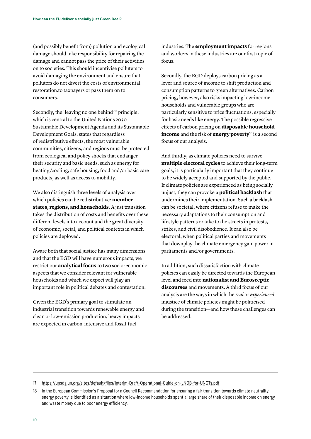(and possibly benefit from) pollution and ecological damage should take responsibility for repairing the damage and cannot pass the price of their activities on to societies. This should incentivise polluters to avoid damaging the environment and ensure that polluters do not divert the costs of environmental restoration.to taxpayers or pass them on to consumers.

Secondly, the 'leaving no one behind'17 principle, which is central to the United Nations 2030 Sustainable Development Agenda and its Sustainable Development Goals, states that regardless of redistributive effects, the most vulnerable communities, citizens, and regions must be protected from ecological and policy shocks that endanger their security and basic needs, such as energy for heating/cooling, safe housing, food and/or basic care products, as well as access to mobility.

We also distinguish three levels of analysis over which policies can be redistributive: **member states, regions, and households**. A just transition takes the distribution of costs and benefits over these different levels into account and the great diversity of economic, social, and political contexts in which policies are deployed.

Aware both that social justice has many dimensions and that the EGD will have numerous impacts, we restrict our **analytical focus** to two socio-economic aspects that we consider relevant for vulnerable households and which we expect will play an important role in political debates and contestation.

Given the EGD's primary goal to stimulate an industrial transition towards renewable energy and clean or low-emission production, heavy impacts are expected in carbon-intensive and fossil-fuel

industries. The **employment impacts** for regions and workers in these industries are our first topic of focus.

Secondly, the EGD deploys carbon pricing as a lever and source of income to shift production and consumption patterns to green alternatives. Carbon pricing, however, also risks impacting low-income households and vulnerable groups who are particularly sensitive to price fluctuations, especially for basic needs like energy. The possible regressive effects of carbon pricing on **disposable household income** and the risk of **energy poverty**<sup>18</sup> is a second focus of our analysis.

And thirdly, as climate policies need to survive **multiple electoral cycles** to achieve their long-term goals, it is particularly important that they continue to be widely accepted and supported by the public. If climate policies are experienced as being socially unjust, they can provoke a **political backlash** that undermines their implementation. Such a backlash can be societal, where citizens refuse to make the necessary adaptations to their consumption and lifestyle patterns or take to the streets in protests, strikes, and civil disobedience. It can also be electoral, when political parties and movements that downplay the climate emergency gain power in parliaments and/or governments.

In addition, such dissatisfaction with climate policies can easily be directed towards the European level and feed into **nationalist and Eurosceptic discourses** and movements. A third focus of our analysis are the ways in which the *real* or *experienced* injustice of climate policies might be politicised during the transition—and how these challenges can be addressed.

17 <https://unsdg.un.org/sites/default/files/Interim-Draft-Operational-Guide-on-LNOB-for-UNCTs.pdf>

<sup>18</sup> In the European Commission's Proposal for a Council Recommendation for ensuring a fair transition towards climate neutrality, energy poverty is identified as a situation where low-income households spent a large share of their disposable income on energy and waste money due to poor energy efficiency.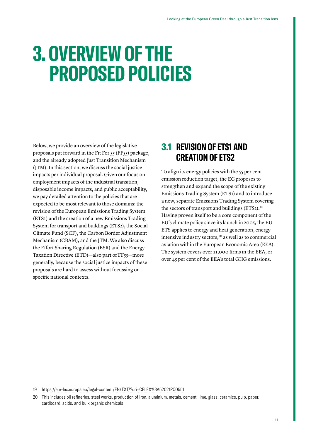# <span id="page-10-0"></span>**3. OVERVIEW OF THE PROPOSED POLICIES**

Below, we provide an overview of the legislative proposals put forward in the Fit For 55 (FF55) package, and the already adopted Just Transition Mechanism (JTM). In this section, we discuss the social justice impacts per individual proposal. Given our focus on employment impacts of the industrial transition, disposable income impacts, and public acceptability, we pay detailed attention to the policies that are expected to be most relevant to those domains: the revision of the European Emissions Trading System (ETS1) and the creation of a new Emissions Trading System for transport and buildings (ETS2), the Social Climate Fund (SCF), the Carbon Border Adjustment Mechanism (CBAM), and the JTM. We also discuss the Effort Sharing Regulation (ESR) and the Energy Taxation Directive (ETD)—also part of FF55—more generally, because the social justice impacts of these proposals are hard to assess without focussing on specific national contexts.

## **3.1 REVISION OF ETS1 AND CREATION OF ETS2**

To align its energy policies with the 55 per cent emission reduction target, the EC proposes to strengthen and expand the scope of the existing Emissions Trading System (ETS1) and to introduce a new, separate Emissions Trading System covering the sectors of transport and buildings (ETS2)[.](https://eur-lex.europa.eu/legal-content/EN/TXT/?uri=CELEX%3A52021PC0551)<sup>19</sup> Having proven itself to be a core component of the EU's climate policy since its launch in 2005, the EU ETS applies to energy and heat generation, energy intensive industry sectors,<sup>20</sup> as well as to commercial aviation within the European Economic Area (EEA). The system covers over 11,000 firms in the EEA, or over 45 per cent of the EEA's total GHG emissions.

19 <https://eur-lex.europa.eu/legal-content/EN/TXT/?uri=CELEX%3A52021PC0551>

<sup>20</sup> This includes oil refineries, steel works, production of iron, aluminium, metals, cement, lime, glass, ceramics, pulp, paper, cardboard, acids, and bulk organic chemicals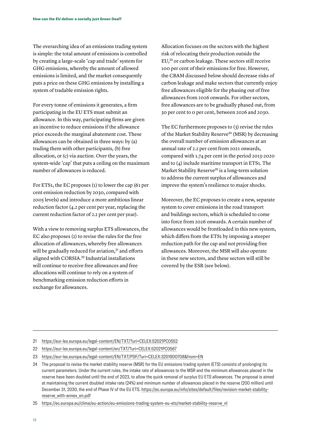The overarching idea of an emissions trading system is simple: the total amount of emissions is controlled by creating a large-scale 'cap and trade' system for GHG emissions, whereby the amount of allowed emissions is limited, and the market consequently puts a price on these GHG emissions by installing a system of tradable emission rights.

For every tonne of emissions it generates, a firm participating in the EU ETS must submit an allowance. In this way, participating firms are given an incentive to reduce emissions if the allowance price exceeds the marginal abatement cost. These allowances can be obtained in three ways: by (a) trading them with other participants, (b) free allocation, or (c) via auction. Over the years, the system-wide 'cap' that puts a ceiling on the maximum number of allowances is reduced.

For ETS1, the EC proposes (1) to lower the cap (61 per cent emission reduction by 2030, compared with 2005 levels) and introduce a more ambitious linear reduction factor (4.2 per cent per year, replacing the current reduction factor of 2.2 per cent per year).

With a view to removing surplus ETS allowances, the EC also proposes (2) to revise the rules for the free allocation of allowances, whereby free allowances will be gradually reduced for aviation,<sup>21</sup> and efforts aligned with CORSIA.22 Industrial installations will continue to receive free allowances and free allocations will continue to rely on a system of benchmarking emission reduction efforts in exchange for allowances.

Allocation focuses on the sectors with the highest risk of relocating their production outside the EU,23 or carbon leakage. These sectors still receive 100 per cent of their emissions for free. However, the CBAM discussed below should decrease risks of carbon leakage and make sectors that currently enjoy free allowances eligible for the phasing out of free allowances from 2026 onwards. For other sectors, free allowances are to be gradually phased out, from 30 per cent to 0 per cent, between 2026 and 2030.

The EC furthermore proposes to (3) revise the rules of the Market Stability Reserve<sup>24</sup> (MSR) by decreasing the overall number of emission allowances at an annual rate of 2.2 per cent from 2021 onwards, compared with 1.74 per cent in the period 2013-2020 and to (4) include maritime transport in ETS1. The Market Stability Reserve<sup>25</sup> is a long-term solution to address the current surplus of allowances and improve the system's resilience to major shocks.

Moreover, the EC proposes to create a new, separate system to cover emissions in the road transport and buildings sectors, which is scheduled to come into force from 2026 onwards. A certain number of allowances would be frontloaded in this new system, which differs from the ETS1 by imposing a steeper reduction path for the cap and not providing free allowances. Moreover, the MSR will also operate in these new sectors, and these sectors will still be covered by the ESR (see below).

- 21 <https://eur-lex.europa.eu/legal-content/EN/TXT/?uri=CELEX:52021PC0552>
- 22 <https://eur-lex.europa.eu/legal-content/en/TXT/?uri=CELEX:52021PC0567>
- 23 https://eur-lex.europa.eu/legal-content/EN/TXT/PDF/?uri=CELEX:32019D0708&from=EN
- 24 The proposal to revise the market stability reserve (MSR) for the EU emissions trading system (ETS) consists of prolonging its current parameters. Under the current rules, the intake rate of allowances to the MSR and the minimum allowances placed in the reserve have been doubled until the end of 2023, to allow the quick removal of surplus EU ETS allowances. The proposal is aimed at maintaining the current doubled intake rate (24%) and minimum number of allowances placed in the reserve (200 million) until December 31, 2030, the end of Phase IV of the EU ETS. https://ec.europa.eu/info/sites/default/files/revision-market-stabilityreserve\_with-annex\_en.pdf

25 [https://ec.europa.eu/clima/eu-action/eu-emissions-trading-system-eu-ets/market-stability-reserve\\_nl](https://ec.europa.eu/clima/eu-action/eu-emissions-trading-system-eu-ets/market-stability-reserve_nl)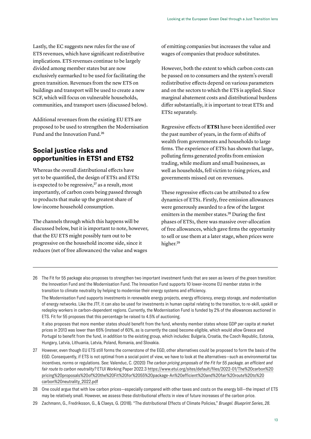Lastly, the EC suggests new rules for the use of ETS revenues, which have significant redistributive implications. ETS revenues continue to be largely divided among member states but are now exclusively earmarked to be used for facilitating the green transition. Revenues from the new ETS on buildings and transport will be used to create a new SCF, which will focus on vulnerable households, communities, and transport users (discussed below).

Additional revenues from the existing EU ETS are proposed to be used to strengthen the Modernisation Fund and the Innovation Fund.<sup>26</sup>

## **Social justice risks and opportunities in ETS1 and ETS2**

Whereas the overall distributional effects have yet to be quantified, the design of ETS1 and ETS2 is expected to be regressive, $27$  as a result, most importantly, of carbon costs being passed through to products that make up the greatest share of low-income household consumption.

The channels through which this happens will be discussed below, but it is important to note, however, that the EU ETS might possibly turn out to be progressive on the household income side, since it reduces (net of free allowances) the value and wages

of emitting companies but increases the value and wages of companies that produce substitutes.

However, both the extent to which carbon costs can be passed on to consumers and the system's overall redistributive effects depend on various parameters and on the sectors to which the ETS is applied. Since marginal abatement costs and distributional burdens differ substantially, it is important to treat ETS1 and ETS2 separately.

Regressive effects of **ETS1** have been identified over the past number of years, in the form of shifts of wealth from governments and households to large firms. The experience of ETS1 has shown that large, polluting firms generated profits from emission trading, while medium and small businesses, as well as households, fell victim to rising prices, and governments missed out on revenues.

These regressive effects can be attributed to a few dynamics of ETS1. Firstly, free emission allowances were generously awarded to a few of the largest emitters in the member states.<sup>28</sup> During the first phases of ETS1, there was massive over-allocation of free allowances, which gave firms the opportunity to sell or use them at a later stage, when prices were higher.<sup>29</sup>

26 The Fit for 55 package also proposes to strengthen two important investment funds that are seen as levers of the green transition: the Innovation Fund and the Modernisation Fund. The Innovation Fund supports 10 lower-income EU member states in the transition to climate neutrality by helping to modernise their energy systems and efficiency.

The Modernisation Fund supports investments in renewable energy projects, energy efficiency, energy storage, and modernisation of energy networks. Like the JTF, it can also be used for investments in human capital relating to the transition, to re-skill, upskill or redeploy workers in carbon-dependent regions. Currently, the Modernisation Fund is funded by 2% of the allowances auctioned in ETS. Fit for 55 proposes that this percentage be raised to 4.5% of auctioning.

It also proposes that more member states should benefit from the fund, whereby member states whose GDP per capita at market prices in 2013 was lower than 65% (instead of 60%, as is currently the case) become eligible, which would allow Greece and Portugal to benefit from the fund, in addition to the existing group, which includes: Bulgaria, Croatia, the Czech Republic, Estonia, Hungary, Latvia, Lithuania, Latvia, Poland, Romania, and Slovakia.

- 27 However, even though EU ETS still forms the cornerstone of the EGD, other alternatives could be proposed to form the basis of the EGD. Consequently, if ETS is not optimal from a social point of view, we have to look at the alternatives—such as environmental tax incentives, norms or regulations. See: Valenduc, C. (2020) *The carbon pricing proposals of the Fit for 55 package. an efficient and fair route to carbon neutrality?* ETUI Working Paper 2022.3 [https://www.etui.org/sites/default/files/2022-01/The%20carbon%20](https://www.etui.org/sites/default/files/2022-01/The%20carbon%20pricing%20proposals%20of%20the%20Fit%20for%2055%20package-An%20efficient%20and%20fair%20route%20to%20carbon%20neutrality_2022.pdf) [pricing%20proposals%20of%20the%20Fit%20for%2055%20package-An%20efficient%20and%20fair%20route%20to%20](https://www.etui.org/sites/default/files/2022-01/The%20carbon%20pricing%20proposals%20of%20the%20Fit%20for%2055%20package-An%20efficient%20and%20fair%20route%20to%20carbon%20neutrality_2022.pdf) [carbon%20neutrality\\_2022.pdf](https://www.etui.org/sites/default/files/2022-01/The%20carbon%20pricing%20proposals%20of%20the%20Fit%20for%2055%20package-An%20efficient%20and%20fair%20route%20to%20carbon%20neutrality_2022.pdf)
- 28 One could argue that with low carbon prices—especially compared with other taxes and costs on the energy bill—the impact of ETS may be relatively small. However, we assess these distributional effects in view of future increases of the carbon price.
- 29 Zachmann, G., Fredriksson, G., & Claeys, G. (2018). "The distributional Effects of Climate Policies," *Bruegel. Blueprint Series*, *28*.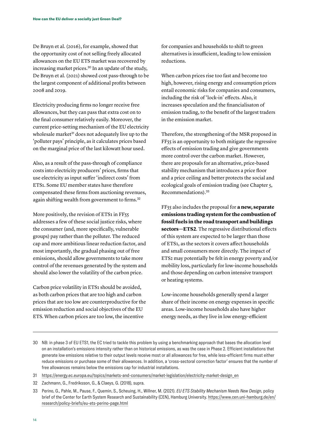De Bruyn et al. (2016), for example, showed that the opportunity cost of not selling freely allocated allowances on the EU ETS market was recovered by increasing market prices.30 In an update of the study, De Bruyn et al. (2021) showed cost pass-through to be the largest component of additional profits between 2008 and 2019.

Electricity producing firms no longer receive free allowances, but they can pass that extra cost on to the final consumer relatively easily. Moreover, the current price-setting mechanism of the EU electricity wholesale market<sup>31</sup> does not adequately live up to the 'polluter pays' principle, as it calculates prices based on the marginal price of the last kilowatt hour used.

Also, as a result of the pass-through of compliance costs into electricity producers' prices, firms that use electricity as input suffer 'indirect costs' from ETS1. Some EU member states have therefore compensated these firms from auctioning revenues, again shifting wealth from government to firms.<sup>32</sup>

More positively, the revision of ETS1 in FF55 addresses a few of these social justice risks, where the consumer (and, more specifically, vulnerable groups) pay rather than the polluter. The reduced cap and more ambitious linear reduction factor, and most importantly, the gradual phasing out of free emissions, should allow governments to take more control of the revenues generated by the system and should also lower the volatility of the carbon price.

Carbon price volatility in ETS1 should be avoided, as both carbon prices that are too high and carbon prices that are too low are counterproductive for the emission reduction and social objectives of the EU ETS. When carbon prices are too low, the incentive

for companies and households to shift to green alternatives is insufficient, leading to low emission reductions.

When carbon prices rise too fast and become too high, however, rising energy and consumption prices entail economic risks for companies and consumers, including the risk of 'lock-in' effects. Also, it increases speculation and the financialisaton of emission trading, to the benefit of the largest traders in the emission market.

Therefore, the strengthening of the MSR proposed in FF55 is an opportunity to both mitigate the regressive effects of emission trading and give governments more control over the carbon market. However, there are proposals for an alternative, price-based stability mechanism that introduces a price floor and a price ceiling and better protects the social and ecological goals of emission trading (see Chapter 5, Recommendations).<sup>33</sup>

FF55 also includes the proposal for **a new, separate emissions trading system for the combustion of fossil fuels in the road transport and buildings sectors—ETS2**. The regressive distributional effects of this system are expected to be larger than those of ETS1, as the sectors it covers affect households and small consumers more directly. The impact of ETS2 may potentially be felt in energy poverty and/or mobility loss, particularly for low-income households and those depending on carbon intensive transport or heating systems.

Low-income households generally spend a larger share of their income on energy expenses in specific areas. Low-income households also have higher energy needs, as they live in low energy-efficient

<sup>30</sup> NB: in phase 3 of EU ETS1, the EC tried to tackle this problem by using a benchmarking approach that bases the allocation level on an installation's emissions intensity rather than on historical emissions, as was the case in Phase 2. Efficient installations that generate low emissions relative to their output levels receive most or all allowances for free, while less-efficient firms must either reduce emissions or purchase some of their allowances. In addition, a 'cross-sectoral correction factor' ensures that the number of free allowances remains below the emissions cap for industrial installations.

<sup>31</sup> [https://energy.ec.europa.eu/topics/markets-and-consumers/market-legislation/electricity-market-design\\_en](https://energy.ec.europa.eu/topics/markets-and-consumers/market-legislation/electricity-market-design_en)

<sup>32</sup> Zachmann, G., Fredriksson, G., & Claeys, G. (2018), supra.

<sup>33</sup> Perino, G., Pahle, M., Pause, F., Quemin, S., Scheuing, H., Willner, M. (2021). *EU ETS Stability Mechanism Needs New Design*, policy brief of the Center for Earth System Research and Sustainability (CEN), Hamburg University. [https://www.cen.uni-hamburg.de/en/](https://www.cen.uni-hamburg.de/en/research/policy-briefs/eu-ets-perino-page.html) [research/policy-briefs/eu-ets-perino-page.html](https://www.cen.uni-hamburg.de/en/research/policy-briefs/eu-ets-perino-page.html)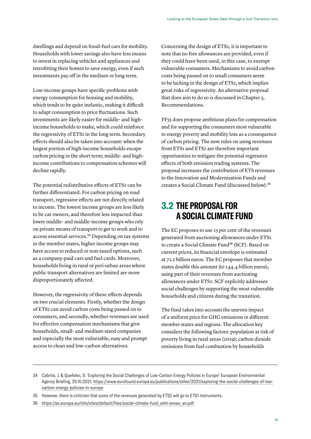<span id="page-14-0"></span>dwellings and depend on fossil-fuel cars for mobility. Households with lower savings also have less means to invest in replacing vehicles and appliances and retrofitting their homes to save energy, even if such investments pay off in the medium or long term.

Low-income groups have specific problems with energy consumption for housing and mobility, which tends to be quite inelastic, making it difficult to adapt consumption to price fluctuations. Such investments are likely easier for middle- and highincome households to make, which could reinforce the regressivity of ETS2 in the long term. Secondary effects should also be taken into account: when the largest portion of high-income households escape carbon pricing in the short term; middle- and highincome contributions to compensation schemes will decline rapidly.

The potential redistributive effects of ETS2 can be further differentiated. For carbon pricing on road transport, regressive effects are not directly related to income. The lowest income groups are less likely to be car owners, and therefore less impacted than lower middle- and middle-income groups who rely on private means of transport to get to work and to access essential services.34 Depending on tax systems in the member states, higher income groups may have access to reduced or non-taxed options, such as a company-paid cars and fuel cards. Moreover, households living in rural or peri-urban areas where public transport alternatives are limited are more disproportionately affected.

However, the regressivity of these effects depends on two crucial elements. Firstly, whether the design of ETS2 can avoid carbon costs being passed on to consumers, and secondly, whether revenues are used for effective compensation mechanisms that give households, small- and medium-sized companies and especially the most vulnerable, easy and prompt access to clean and low-carbon alternatives.

Concerning the design of ETS2, it is important to note that no free allowances are provided, even if they could have been used, in this case, to exempt vulnerable consumers. Mechanisms to avoid carbon costs being passed on to small consumers seem to be lacking in the design of ETS2, which implies great risks of regressivity. An alternative proposal that does aim to do so is discussed in Chapter 5, Recommendations.

FF55 does propose ambitious plans for compensation and for supporting the consumers most vulnerable to energy poverty and mobility loss as a consequence of carbon pricing. The new rules on using revenues from ETS1 and ETS2 are therefore important opportunities to mitigate the potential regressive effects of both emission trading systems. The proposal increases the contribution of ETS revenues to the Innovation and Modernisation Funds and creates a Social Climate Fund (discussed below).<sup>35</sup>

# **3.2 THE PROPOSAL FOR A SOCIAL CLIMATE FUND**

The EC proposes to use 25 per cent of the revenues generated from auctioning allowances under ETS2 to create a Social Climate Fund<sup>36</sup> (SCF). Based on current prices, its financial envelope is estimated at 72.2 billion euros. The EC proposes that member states double this amount (to 144.4 billion euros), using part of their revenues from auctioning allowances under ETS2. SCF explicitly addresses social challenges by supporting the most vulnerable households and citizens during the transition.

The fund takes into account the uneven impact of a uniform price for GHG emissions in different member states and regions. The allocation key considers the following factors: population at risk of poverty living in rural areas (2019); carbon dioxide emissions from fuel combustion by households

<sup>34</sup> Cabrita, J. & Quefelec, S. 'Exploring the Social Challenges of Low-Carbon Energy Policies in Europe' European Environmental Agency Briefing, 29.10.2021, [https://www.eurofound.europa.eu/publications/other/2021/exploring-the-social-challenges-of-low](https://www.eurofound.europa.eu/publications/other/2021/exploring-the-social-challenges-of-low-carbon-energy-policies-in-europe)[carbon-energy-policies-in-europe](https://www.eurofound.europa.eu/publications/other/2021/exploring-the-social-challenges-of-low-carbon-energy-policies-in-europe)

<sup>35</sup> However, there is criticism that some of the revenues generated by ETS2 will go to ETS1 instruments.

<sup>36</sup> [https://ec.europa.eu/info/sites/default/files/social-climate-fund\\_with-annex\\_en.pdf](https://ec.europa.eu/info/sites/default/files/social-climate-fund_with-annex_en.pdf)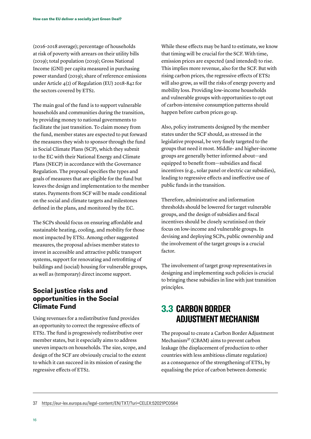<span id="page-15-0"></span>(2016-2018 average); percentage of households at risk of poverty with arrears on their utility bills (2019); total population (2019); Gross National Income (GNI) per capita measured in purchasing power standard (2019); share of reference emissions under Article 4(2) of Regulation (EU) 2018-842 for the sectors covered by ETS2.

The main goal of the fund is to support vulnerable households and communities during the transition, by providing money to national governments to facilitate the just transition. To claim money from the fund, member states are expected to put forward the measures they wish to sponsor through the fund in Social Climate Plans (SCP), which they submit to the EC with their National Energy and Climate Plans (NECP) in accordance with the Governance Regulation. The proposal specifies the types and goals of measures that are eligible for the fund but leaves the design and implementation to the member states. Payments from SCF will be made conditional on the social and climate targets and milestones defined in the plans, and monitored by the EC.

The SCPs should focus on ensuring affordable and sustainable heating, cooling, and mobility for those most impacted by ETS2. Among other suggested measures, the proposal advises member states to invest in accessible and attractive public transport systems, support for renovating and retrofitting of buildings and (social) housing for vulnerable groups, as well as (temporary) direct income support.

## **Social justice risks and opportunities in the Social Climate Fund**

Using revenues for a redistributive fund provides an opportunity to correct the regressive effects of ETS2. The fund is progressively redistributive over member states, but it especially aims to address uneven impacts on households. The size, scope, and design of the SCF are obviously crucial to the extent to which it can succeed in its mission of easing the regressive effects of ETS2.

While these effects may be hard to estimate, we know that timing will be crucial for the SCF. With time, emission prices are expected (and intended) to rise. This implies more revenue, also for the SCF. But with rising carbon prices, the regressive effects of ETS2 will also grow, as will the risks of energy poverty and mobility loss. Providing low-income households and vulnerable groups with opportunities to opt out of carbon-intensive consumption patterns should happen before carbon prices go up.

Also, policy instruments designed by the member states under the SCF should, as stressed in the legislative proposal, be very finely targeted to the groups that need it most. Middle- and higher-income groups are generally better informed about—and equipped to benefit from—subsidies and fiscal incentives (e.g., solar panel or electric car subsidies), leading to regressive effects and ineffective use of public funds in the transition.

Therefore, administrative and information thresholds should be lowered for target vulnerable groups, and the design of subsidies and fiscal incentives should be closely scrutinised on their focus on low-income and vulnerable groups. In devising and deploying SCPs, public ownership and the involvement of the target groups is a crucial factor.

The involvement of target group representatives in designing and implementing such policies is crucial to bringing these subsidies in line with just transition principles.

# **3.3 CARBON BORDER ADJUSTMENT MECHANISM**

The proposal to create a Carbon Border Adjustment Mechanism<sup>37</sup> (CBAM) aims to prevent carbon leakage (the displacement of production to other countries with less ambitious climate regulation) as a consequence of the strengthening of ETS1, by equalising the price of carbon between domestic

37 <https://eur-lex.europa.eu/legal-content/EN/TXT/?uri=CELEX:52021PC0564>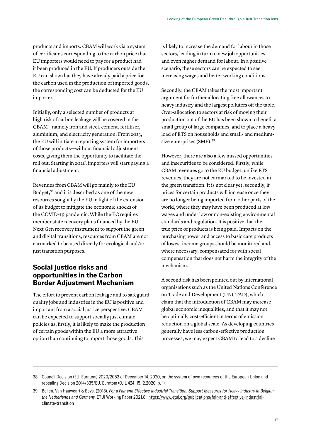products and imports. CBAM will work via a system of certificates corresponding to the carbon price that EU importers would need to pay for a product had it been produced in the EU. If producers outside the EU can show that they have already paid a price for the carbon used in the production of imported goods, the corresponding cost can be deducted for the EU importer.

Initially, only a selected number of products at high risk of carbon leakage will be covered in the CBAM—namely iron and steel, cement, fertiliser, aluminium, and electricity generation. From 2023, the EU will initiate a reporting system for importers of those products—without financial adjustment costs, giving them the opportunity to facilitate the roll out. Starting in 2026, importers will start paying a financial adjustment.

Revenues from CBAM will go mainly to the EU Budget,38 and it is described as one of the new resources sought by the EU in light of the extension of its budget to mitigate the economic shocks of the COVID-19 pandemic. While the EC requires member state recovery plans financed by the EU Next Gen recovery instrument to support the green and digital transitions, resources from CBAM are not earmarked to be used directly for ecological and/or just transition purposes.

## **Social justice risks and opportunities in the Carbon Border Adjustment Mechanism**

The effort to prevent carbon leakage and to safeguard quality jobs and industries in the EU is positive and important from a social justice perspective. CBAM can be expected to support socially just climate policies as, firstly, it is likely to make the production of certain goods within the EU a more attractive option than continuing to import those goods. This

is likely to increase the demand for labour in those sectors, leading in turn to new job opportunities and even higher demand for labour. In a positive scenario, these sectors can be expected to see increasing wages and better working conditions.

Secondly, the CBAM takes the most important argument for further allocating free allowances to heavy industry and the largest polluters off the table. Over-allocation to sectors at risk of moving their production out of the EU has been shown to benefit a small group of large companies, and to place a heavy load of ETS on households and small- and mediumsize enterprises (SME).<sup>39</sup>

However, there are also a few missed opportunities and insecurities to be considered. Firstly, while CBAM revenues go to the EU budget, unlike ETS revenues, they are not earmarked to be invested in the green transition. It is not clear yet, secondly, if prices for certain products will increase once they are no longer being imported from other parts of the world, where they may have been produced at low wages and under low or non-existing environmental standards and regulation. It is positive that the true price of products is being paid. Impacts on the purchasing power and access to basic care products of lowest income groups should be monitored and, where necessary, compensated for with social compensation that does not harm the integrity of the mechanism.

A second risk has been pointed out by international organisations such as the United Nations Conference on Trade and Development (UNCTAD), which claim that the introduction of CBAM may increase global economic inequalities, and that it may not be optimally cost-efficient in terms of emission reduction on a global scale. As developing countries generally have less carbon-effective production processes, we may expect CBAM to lead to a decline

<sup>38</sup> Council Decision (EU, Euratom) 2020/2053 of December 14, 2020, on the system of own resources of the European Union and repealing Decision 2014/335/EU, Euratom (OJ L 424, 15.12.2020, p. 1).

<sup>39</sup> Bollen, Van Hauweart & Beys, (2018). *For a Fair and Effective Industrial Transition. Support Measures for Heavy Industry in Belgium, the Netherlands and Germany*. ETUI Working Paper 2021.8 : [https://www.etui.org/publications/fair-and-effective-industrial](https://www.etui.org/publications/fair-and-effective-industrial-climate-transition)[climate-transition](https://www.etui.org/publications/fair-and-effective-industrial-climate-transition)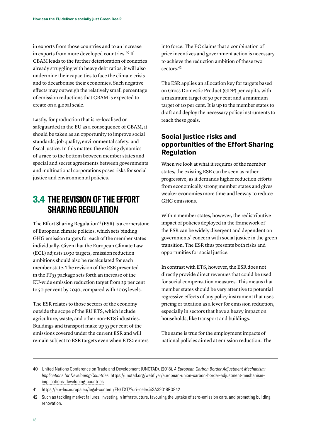<span id="page-17-0"></span>in exports from those countries and to an increase in exports from more developed countries.40 If CBAM leads to the further deterioration of countries already struggling with heavy debt ratios, it will also undermine their capacities to face the climate crisis and to decarbonise their economies. Such negative effects may outweigh the relatively small percentage of emission reductions that CBAM is expected to create on a global scale.

Lastly, for production that is re-localised or safeguarded in the EU as a consequence of CBAM, it should be taken as an opportunity to improve social standards, job quality, environmental safety, and fiscal justice. In this matter, the existing dynamics of a race to the bottom between member states and special and secret agreements between governments and multinational corporations poses risks for social justice and environmental policies.

# **3.4 THE REVISION OF THE EFFORT SHARING REGULATION**

The Effort Sharing Regulation<sup>41</sup> (ESR) is a cornerstone of European climate policies, which sets binding GHG emission targets for each of the member states individually. Given that the European Climate Law (ECL) adjusts 2030 targets, emission reduction ambitions should also be recalculated for each member state. The revision of the ESR presented in the FF55 package sets forth an increase of the EU-wide emission reduction target from 29 per cent to 50 per cent by 2030, compared with 2005 levels.

The ESR relates to those sectors of the economy outside the scope of the EU ETS, which include agriculture, waste, and other non-ETS industries. Buildings and transport make up 55 per cent of the emissions covered under the current ESR and will remain subject to ESR targets even when ETS2 enters into force. The EC claims that a combination of price incentives and government action is necessary to achieve the reduction ambition of these two sectors.<sup>42</sup>

The ESR applies an allocation key for targets based on Gross Domestic Product (GDP) per capita, with a maximum target of 50 per cent and a minimum target of 10 per cent. It is up to the member states to draft and deploy the necessary policy instruments to reach these goals.

## **Social justice risks and opportunities of the Effort Sharing Regulation**

When we look at what it requires of the member states, the existing ESR can be seen as rather progressive, as it demands higher reduction efforts from economically strong member states and gives weaker economies more time and leeway to reduce GHG emissions.

Within member states, however, the redistributive impact of policies deployed in the framework of the ESR can be widely divergent and dependent on governments' concern with social justice in the green transition. The ESR thus presents both risks and opportunities for social justice.

In contrast with ETS, however, the ESR does not directly provide direct revenues that could be used for social compensation measures. This means that member states should be very attentive to potential regressive effects of any policy instrument that uses pricing or taxation as a lever for emission reduction, especially in sectors that have a heavy impact on households, like transport and buildings.

The same is true for the employment impacts of national policies aimed at emission reduction. The

<sup>40</sup> United Nations Conference on Trade and Development (UNCTAD), (2018). *A European Carbon Border Adjustment Mechanism: Implications for Developing Countries.* [https://unctad.org/webflyer/european-union-carbon-border-adjustment-mechanism](https://unctad.org/webflyer/european-union-carbon-border-adjustment-mechanism-implications-developing-countries)[implications-developing-countries](https://unctad.org/webflyer/european-union-carbon-border-adjustment-mechanism-implications-developing-countries)

<sup>41</sup> <https://eur-lex.europa.eu/legal-content/EN/TXT/?uri=celex%3A32018R0842>

<sup>42</sup> Such as tackling market failures, investing in infrastructure, favouring the uptake of zero-emission cars, and promoting building renovation.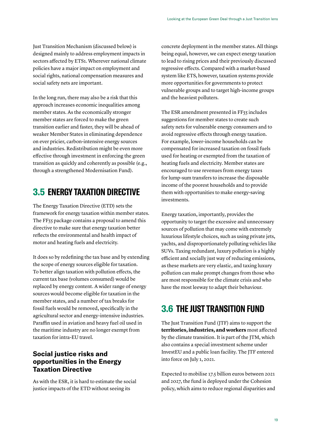<span id="page-18-0"></span>Just Transition Mechanism (discussed below) is designed mainly to address employment impacts in sectors affected by ETS1. Wherever national climate policies have a major impact on employment and social rights, national compensation measures and social safety nets are important.

In the long run, there may also be a risk that this approach increases economic inequalities among member states. As the economically stronger member states are forced to make the green transition earlier and faster, they will be ahead of weaker Member States in eliminating dependence on ever pricier, carbon-intensive energy sources and industries. Redistribution might be even more effective through investment in enforcing the green transition as quickly and coherently as possible (e.g., through a strengthened Modernisation Fund).

# **3.5 ENERGY TAXATION DIRECTIVE**

The Energy Taxation Directive (ETD) sets the framework for energy taxation within member states. The FF55 package contains a proposal to amend this directive to make sure that energy taxation better reflects the environmental and health impact of motor and heating fuels and electricity.

It does so by redefining the tax base and by extending the scope of energy sources eligible for taxation. To better align taxation with pollution effects, the current tax base (volumes consumed) would be replaced by energy content. A wider range of energy sources would become eligible for taxation in the member states, and a number of tax breaks for fossil fuels would be removed, specifically in the agricultural sector and energy-intensive industries. Paraffin used in aviation and heavy fuel oil used in the maritime industry are no longer exempt from taxation for intra-EU travel.

## **Social justice risks and opportunities in the Energy Taxation Directive**

As with the ESR, it is hard to estimate the social justice impacts of the ETD without seeing its

concrete deployment in the member states. All things being equal, however, we can expect energy taxation to lead to rising prices and their previously discussed regressive effects. Compared with a market-based system like ETS, however, taxation systems provide more opportunities for governments to protect vulnerable groups and to target high-income groups and the heaviest polluters.

The ESR amendment presented in FF55 includes suggestions for member states to create such safety nets for vulnerable energy consumers and to avoid regressive effects through energy taxation. For example, lower-income households can be compensated for increased taxation on fossil fuels used for heating or exempted from the taxation of heating fuels and electricity. Member states are encouraged to use revenues from energy taxes for lump-sum transfers to increase the disposable income of the poorest households and to provide them with opportunities to make energy-saving investments.

Energy taxation, importantly, provides the opportunity to target the excessive and unnecessary sources of pollution that may come with extremely luxurious lifestyle choices, such as using private jets, yachts, and disproportionately polluting vehicles like SUVs. Taxing redundant, luxury pollution is a highly efficient and socially just way of reducing emissions, as these markets are very elastic, and taxing luxury pollution can make prompt changes from those who are most responsible for the climate crisis and who have the most leeway to adapt their behaviour.

# **3.6 THE JUST TRANSITION FUND**

The Just Transition Fund (ITF) aims to support the **territories, industries, and workers** most affected by the climate transition. It is part of the JTM, which also contains a special investment scheme under InvestEU and a public loan facility. The JTF entered into force on July 1, 2021.

Expected to mobilise 17.5 billion euros between 2021 and 2027, the fund is deployed under the Cohesion policy, which aims to reduce regional disparities and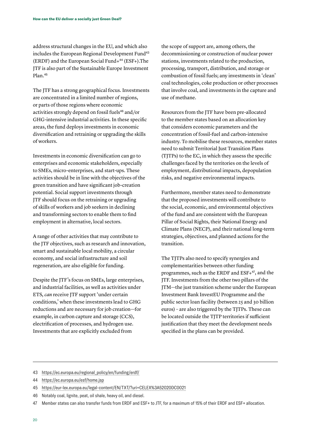address structural changes in the EU, and which also includes the European Regional Development Fund<sup>43</sup> (ERDF) and the European Social Fund+44 (ESF+)[.T](https://ec.europa.eu/esf/home.jsp)he JTF is also part of the Sustainable Europe Investment Plan.<sup>45</sup>

The JTF has a strong geographical focus. Investments are concentrated in a limited number of regions, or parts of those regions where economic activities strongly depend on fossil fuels<sup>46</sup> and/or GHG-intensive industrial activities. In these specific areas, the fund deploys investments in economic diversification and retraining or upgrading the skills of workers.

Investments in economic diversification can go to enterprises and economic stakeholders, especially to SMEs, micro-enterprises, and start-ups. These activities should be in line with the objectives of the green transition and have significant job-creation potential. Social support investments through JTF should focus on the retraining or upgrading of skills of workers and job seekers in declining and transforming sectors to enable them to find employment in alternative, local sectors.

A range of other activities that may contribute to the JTF objectives, such as research and innovation, smart and sustainable local mobility, a circular economy, and social infrastructure and soil regeneration, are also eligible for funding.

Despite the JTF's focus on SMEs, large enterprises, and industrial facilities, as well as activities under ETS, *can* receive JTF support 'under certain conditions,' when these investments lead to GHG reductions and are necessary for job creation—for example, in carbon capture and storage (CCS), electrification of processes, and hydrogen use. Investments that are explicitly excluded from

the scope of support are, among others, the decommissioning or construction of nuclear power stations, investments related to the production, processing, transport, distribution, and storage or combustion of fossil fuels; any investments in 'clean' coal technologies, coke production or other processes that involve coal, and investments in the capture and use of methane.

Resources from the JTF have been pre-allocated to the member states based on an allocation key that considers economic parameters and the concentration of fossil-fuel and carbon-intensive industry. To mobilise these resources, member states need to submit Territorial Just Transition Plans (TJTPs) to the EC, in which they assess the specific challenges faced by the territories on the levels of employment, distributional impacts, depopulation risks, and negative environmental impacts.

Furthermore, member states need to demonstrate that the proposed investments will contribute to the social, economic, and environmental objectives of the fund and are consistent with the European Pillar of Social Rights, their National Energy and Climate Plans (NECP), and their national long-term strategies, objectives, and planned actions for the transition.

The TJTPs also need to specify synergies and complementarities between other funding programmes, such as the ERDF and ESF+47, and the JTF. Investments from the other two pillars of the JTM—the just transition scheme under the European Investment Bank InvestEU Programme and the public sector loan facility (between 25 and 30 billion euros) – are also triggered by the TJTPs. These can be located outside the TJTP territories if sufficient justification that they meet the development needs specified in the plans can be provided.

<sup>43</sup> [https://ec.europa.eu/regional\\_policy/en/funding/erdf/](https://ec.europa.eu/regional_policy/en/funding/erdf/)

<sup>44</sup> <https://ec.europa.eu/esf/home.jsp>

<sup>45</sup> <https://eur-lex.europa.eu/legal-content/EN/TXT/?uri=CELEX%3A52020DC0021>

<sup>46</sup> Notably coal, lignite, peat, oil shale, heavy oil, and diesel.

<sup>47</sup> Member states can also transfer funds from ERDF and ESF+ to JTF, for a maximum of 15% of their ERDF and ESF+ allocation.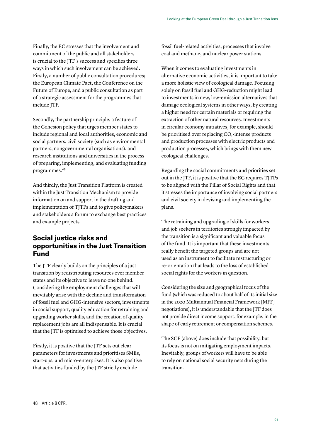Finally, the EC stresses that the involvement and commitment of the public and all stakeholders is crucial to the JTF's success and specifies three ways in which such involvement can be achieved. Firstly, a number of public consultation procedures; the European Climate Pact, the Conference on the Future of Europe, and a public consultation as part of a strategic assessment for the programmes that include JTF.

Secondly, the partnership principle, a feature of the Cohesion policy that urges member states to include regional and local authorities, economic and social partners, civil society (such as environmental partners, nongovernmental organisations), and research institutions and universities in the process of preparing, implementing, and evaluating funding programmes.<sup>48</sup>

And thirdly, the Just Transition Platform is created within the Just Transition Mechanism to provide information on and support in the drafting and implementation of TJTPs and to give policymakers and stakeholders a forum to exchange best practices and example projects.

### **Social justice risks and opportunities in the Just Transition Fund**

The JTF clearly builds on the principles of a just transition by redistributing resources over member states and its objective to leave no one behind. Considering the employment challenges that will inevitably arise with the decline and transformation of fossil fuel and GHG-intensive sectors, investments in social support, quality education for retraining and upgrading worker skills, and the creation of quality replacement jobs are all indispensable. It is crucial that the JTF is optimised to achieve those objectives.

Firstly, it is positive that the JTF sets out clear parameters for investments and prioritises SMEs, start-ups, and micro-enterprises. It is also positive that activities funded by the JTF strictly exclude

fossil fuel-related activities, processes that involve coal and methane, and nuclear power stations.

When it comes to evaluating investments in alternative economic activities, it is important to take a more holistic view of ecological damage. Focusing solely on fossil fuel and GHG-reduction might lead to investments in new, low-emission alternatives that damage ecological systems in other ways, by creating a higher need for certain materials or requiring the extraction of other natural resources. Investments in circular economy initiatives, for example, should be prioritised over replacing CO<sub>2</sub>-intense products and production processes with electric products and production processes, which brings with them new ecological challenges.

Regarding the social commitments and priorities set out in the JTF, it is positive that the EC requires TJTPs to be aligned with the Pillar of Social Rights and that it stresses the importance of involving social partners and civil society in devising and implementing the plans.

The retraining and upgrading of skills for workers and job seekers in territories strongly impacted by the transition is a significant and valuable focus of the fund. It is important that these investments really benefit the targeted groups and are not used as an instrument to facilitate restructuring or re-orientation that leads to the loss of established social rights for the workers in question.

Considering the size and geographical focus of the fund (which was reduced to about half of its initial size in the 2020 Multiannual Financial Framework [MFF] negotiations), it is understandable that the JTF does not provide direct income support, for example, in the shape of early retirement or compensation schemes.

The SCF (above) does include that possibility, but its focus is not on mitigating employment impacts. Inevitably, groups of workers will have to be able to rely on national social security nets during the transition.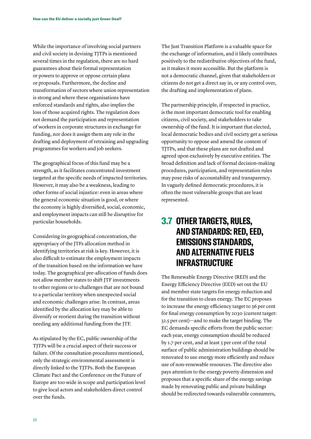<span id="page-21-0"></span>While the importance of involving social partners and civil society in devising TJTPs is mentioned several times in the regulation, there are no hard guarantees about their formal representation or powers to approve or oppose certain plans or proposals. Furthermore, the decline and transformation of sectors where union representation is strong and where these organisations have enforced standards and rights, also implies the loss of those acquired rights. The regulation does not demand the participation and representation of workers in corporate structures in exchange for funding, nor does it assign them any role in the drafting and deployment of retraining and upgrading programmes for workers and job seekers.

The geographical focus of this fund may be a strength, as it facilitates concentrated investment targeted at the specific needs of impacted territories. However, it may also be a weakness, leading to other forms of social injustice: even in areas where the general economic situation is good, or where the economy is highly diversified, social, economic, and employment impacts can still be disruptive for particular households.

Considering its geographical concentration, the appropriacy of the JTFs allocation method in identifying territories at risk is key. However, it is also difficult to estimate the employment impacts of the transition based on the information we have today. The geographical pre-allocation of funds does not allow member states to shift JTF investments to other regions or to challenges that are not bound to a particular territory when unexpected social and economic challenges arise. In contrast, areas identified by the allocation key may be able to diversify or reorient during the transition without needing any additional funding from the JTF.

As stipulated by the EC, public ownership of the TJTPs will be a crucial aspect of their success or failure. Of the consultation procedures mentioned, only the strategic environmental assessment is directly linked to the TJTPs. Both the European Climate Pact and the Conference on the Future of Europe are too wide in scope and participation level to give local actors and stakeholders direct control over the funds.

The Just Transition Platform is a valuable space for the exchange of information, and it likely contributes positively to the redistributive objectives of the fund, as it makes it more accessible. But the platform is not a democratic channel, given that stakeholders or citizens do not get a direct say in, or any control over, the drafting and implementation of plans.

The partnership principle, if respected in practice, is the most important democratic tool for enabling citizens, civil society, and stakeholders to take ownership of the fund. It is important that elected, local democratic bodies and civil society get a serious opportunity to oppose and amend the content of TJTPs, and that these plans are not drafted and agreed upon exclusively by executive entities. The broad definition and lack of formal decision-making procedures, participation, and representation rules may pose risks of accountability and transparency. In vaguely defined democratic procedures, it is often the most vulnerable groups that are least represented.

## **3.7 OTHER TARGETS, RULES, AND STANDARDS: RED, EED, EMISSIONS STANDARDS, AND ALTERNATIVE FUELS INFRASTRUCTURE**

The Renewable Energy Directive (RED) and the Energy Efficiency Directive (EED) set out the EU and member state targets for energy reduction and for the transition to clean energy. The EC proposes to increase the energy efficiency target to 36 per cent for final energy consumption by 2030 (current target: 32.5 per cent)—and to make the target binding. The EC demands specific efforts from the public sector: each year, energy consumption should be reduced by 1.7 per cent, and at least 3 per cent of the total surface of public administration buildings should be renovated to use energy more efficiently and reduce use of non-renewable resources. The directive also pays attention to the energy poverty dimension and proposes that a specific share of the energy savings made by renovating public and private buildings should be redirected towards vulnerable consumers,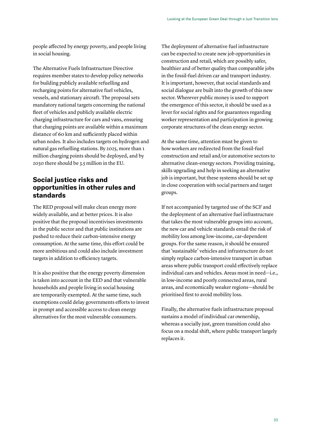people affected by energy poverty, and people living in social housing.

The Alternative Fuels Infrastructure Directive requires member states to develop policy networks for building publicly available refuelling and recharging points for alternative fuel vehicles, vessels, and stationary aircraft. The proposal sets mandatory national targets concerning the national fleet of vehicles and publicly available electric charging infrastructure for cars and vans, ensuring that charging points are available within a maximum distance of 60 km and sufficiently placed within urban nodes. It also includes targets on hydrogen and natural gas refuelling stations. By 2025, more than 1 million charging points should be deployed, and by 2030 there should be 3.5 million in the EU.

## **Social justice risks and opportunities in other rules and standards**

The RED proposal will make clean energy more widely available, and at better prices. It is also positive that the proposal incentivises investments in the public sector and that public institutions are pushed to reduce their carbon-intensive energy consumption. At the same time, this effort could be more ambitious and could also include investment targets in addition to efficiency targets.

It is also positive that the energy poverty dimension is taken into account in the EED and that vulnerable households and people living in social housing are temporarily exempted. At the same time, such exemptions could delay governments efforts to invest in prompt and accessible access to clean energy alternatives for the most vulnerable consumers.

The deployment of alternative fuel infrastructure can be expected to create new job opportunities in construction and retail, which are possibly safer, healthier and of better quality than comparable jobs in the fossil-fuel driven car and transport industry. It is important, however, that social standards and social dialogue are built into the growth of this new sector. Wherever public money is used to support the emergence of this sector, it should be used as a lever for social rights and for guarantees regarding worker representation and participation in growing corporate structures of the clean energy sector.

At the same time, attention must be given to how workers are redirected from the fossil-fuel construction and retail and/or automotive sectors to alternative clean-energy sectors. Providing training, skills upgrading and help in seeking an alternative job is important, but these systems should be set up in close cooperation with social partners and target groups.

If not accompanied by targeted use of the SCF and the deployment of an alternative fuel infrastructure that takes the most vulnerable groups into account, the new car and vehicle standards entail the risk of mobility loss among low-income, car-dependent groups. For the same reason, it should be ensured that 'sustainable' vehicles and infrastructure do not simply replace carbon-intensive transport in urban areas where public transport could effectively replace individual cars and vehicles. Areas most in need—i.e., in low-income and poorly connected areas, rural areas, and economically weaker regions—should be prioritised first to avoid mobility loss.

Finally, the alternative fuels infrastructure proposal sustains a model of individual car ownership, whereas a socially just, green transition could also focus on a modal shift, where public transport largely replaces it.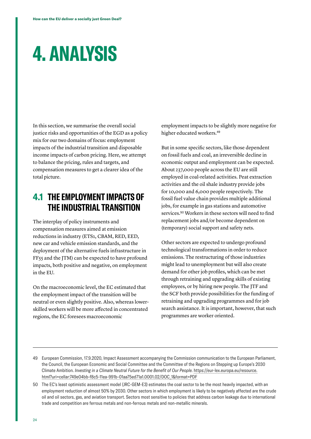# <span id="page-23-0"></span>**4. ANALYSIS**

In this section, we summarise the overall social justice risks and opportunities of the EGD as a policy mix for our two domains of focus: employment impacts of the industrial transition and disposable income impacts of carbon pricing. Here, we attempt to balance the pricing, rules and targets, and compensation measures to get a clearer idea of the total picture.

## **4.1 THE EMPLOYMENT IMPACTS OF THE INDUSTRIAL TRANSITION**

The interplay of policy instruments and compensation measures aimed at emission reductions in industry (ETS1, CBAM, RED, EED, new car and vehicle emission standards, and the deployment of the alternative fuels infrastructure in FF55 and the JTM) can be expected to have profound impacts, both positive and negative, on employment in the EU.

On the macroeconomic level, the EC estimated that the employment impact of the transition will be neutral or even slightly positive. Also, whereas lowerskilled workers will be more affected in concentrated regions, the EC foresees macroeconomic

employment impacts to be slightly more negative for higher educated workers.<sup>49</sup>

But in some specific sectors, like those dependent on fossil fuels and coal, an irreversible decline in economic output and employment can be expected. About 237,000 people across the EU are still employed in coal-related activities. Peat extraction activities and the oil shale industry provide jobs for 10,000 and 6,000 people respectively. The fossil fuel value chain provides multiple additional jobs, for example in gas stations and automotive services.50 Workers in these sectors will need to find replacement jobs and/or become dependent on (temporary) social support and safety nets.

Other sectors are expected to undergo profound technological transformations in order to reduce emissions. The restructuring of those industries might lead to unemployment but will also create demand for other job profiles, which can be met through retraining and upgrading skills of existing employees, or by hiring new people. The JTF and the SCF both provide possibilities for the funding of retraining and upgrading programmes and for job search assistance. It is important, however, that such programmes are worker oriented.

- 49 European Commission, 17.9.2020, Impact Assessment accompanying the Commission communication to the European Parliament, the Council, the European Economic and Social Committee and the Committee of the Regions on Stepping up Europe's 2030 Climate Ambition. *Investing in a Climate Neutral Future for the Benefit of Our People*. [https://eur-lex.europa.eu/resource.](https://eur-lex.europa.eu/resource.html?uri=cellar:749e04bb-f8c5-11ea-991b-01aa75ed71a1.0001.02/DOC_1&format=PDF) [html?uri=cellar:749e04bb-f8c5-11ea-991b-01aa75ed71a1.0001.02/DOC\\_1&format=PDF](https://eur-lex.europa.eu/resource.html?uri=cellar:749e04bb-f8c5-11ea-991b-01aa75ed71a1.0001.02/DOC_1&format=PDF)
- 50 The EC's least optimistic assessment model (JRC-GEM-E3) estimates the coal sector to be the most heavily impacted, with an employment reduction of almost 50% by 2030. Other sectors in which employment is likely to be negatively affected are the crude oil and oil sectors, gas, and aviation transport. Sectors most sensitive to policies that address carbon leakage due to international trade and competition are ferrous metals and non-ferrous metals and non-metallic minerals.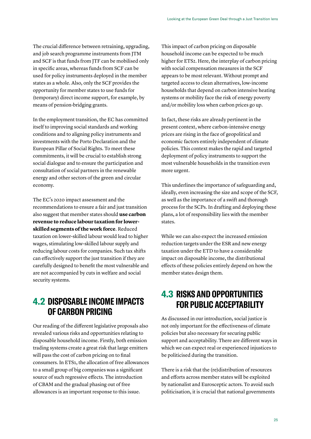<span id="page-24-0"></span>The crucial difference between retraining, upgrading, and job search programme instruments from JTM and SCF is that funds from JTF can be mobilised only in specific areas, whereas funds from SCF can be used for policy instruments deployed in the member states as a whole. Also, only the SCF provides the opportunity for member states to use funds for (temporary) direct income support, for example, by means of pension-bridging grants.

In the employment transition, the EC has committed itself to improving social standards and working conditions and to aligning policy instruments and investments with the Porto Declaration and the European Pillar of Social Rights. To meet these commitments, it will be crucial to establish strong social dialogue and to ensure the participation and consultation of social partners in the renewable energy and other sectors of the green and circular economy.

The EC's 2020 impact assessment and the recommendations to ensure a fair and just transition also suggest that member states should **use carbon revenue to reduce labour taxation for lowerskilled segments of the work force**. Reduced taxation on lower-skilled labour would lead to higher wages, stimulating low-skilled labour supply and reducing labour costs for companies. Such tax shifts can effectively support the just transition if they are carefully designed to benefit the most vulnerable and are not accompanied by cuts in welfare and social security systems.

## **4.2 DISPOSABLE INCOME IMPACTS OF CARBON PRICING**

Our reading of the different legislative proposals also revealed various risks and opportunities relating to disposable household income. Firstly, both emission trading systems create a great risk that large emitters will pass the cost of carbon pricing on to final consumers. In ETS1, the allocation of free allowances to a small group of big companies was a significant source of such regressive effects. The introduction of CBAM and the gradual phasing out of free allowances is an important response to this issue.

This impact of carbon pricing on disposable household income can be expected to be much higher for ETS2. Here, the interplay of carbon pricing with social compensation measures in the SCF appears to be most relevant. Without prompt and targeted access to clean alternatives, low-income households that depend on carbon intensive heating systems or mobility face the risk of energy poverty and/or mobility loss when carbon prices go up.

In fact, these risks are already pertinent in the present context, where carbon-intensive energy prices are rising in the face of geopolitical and economic factors entirely independent of climate policies. This context makes the rapid and targeted deployment of policy instruments to support the most vulnerable households in the transition even more urgent.

This underlines the importance of safeguarding and, ideally, even increasing the size and scope of the SCF, as well as the importance of a swift and thorough process for the SCPs. In drafting and deploying these plans, a lot of responsibility lies with the member states.

While we can also expect the increased emission reduction targets under the ESR and new energy taxation under the ETD to have a considerable impact on disposable income, the distributional effects of these policies entirely depend on how the member states design them.

# **4.3 RISKS AND OPPORTUNITIES FOR PUBLIC ACCEPTABILITY**

As discussed in our introduction, social justice is not only important for the effectiveness of climate policies but also necessary for securing public support and acceptability. There are different ways in which we can expect real or experienced injustices to be politicised during the transition.

There is a risk that the (re)distribution of resources and efforts across member states will be exploited by nationalist and Eurosceptic actors. To avoid such politicisation, it is crucial that national governments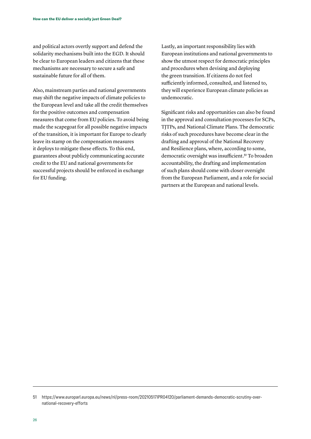and political actors overtly support and defend the solidarity mechanisms built into the EGD. It should be clear to European leaders and citizens that these mechanisms are necessary to secure a safe and sustainable future for all of them.

Also, mainstream parties and national governments may shift the negative impacts of climate policies to the European level and take all the credit themselves for the positive outcomes and compensation measures that come from EU policies. To avoid being made the scapegoat for all possible negative impacts of the transition, it is important for Europe to clearly leave its stamp on the compensation measures it deploys to mitigate these effects. To this end, guarantees about publicly communicating accurate credit to the EU and national governments for successful projects should be enforced in exchange for EU funding.

Lastly, an important responsibility lies with European institutions and national governments to show the utmost respect for democratic principles and procedures when devising and deploying the green transition. If citizens do not feel sufficiently informed, consulted, and listened to, they will experience European climate policies as undemocratic.

Significant risks and opportunities can also be found in the approval and consultation processes for SCPs, TJTPs, and National Climate Plans. The democratic risks of such procedures have become clear in the drafting and approval of the National Recovery and Resilience plans, where, according to some, democratic oversight was insufficient.<sup>51</sup> To broaden accountability, the drafting and implementation of such plans should come with closer oversight from the European Parliament, and a role for social partners at the European and national levels.

<sup>51</sup> https://www.europarl.europa.eu/news/nl/press-room/20210517IPR04120/parliament-demands-democratic-scrutiny-overnational-recovery-efforts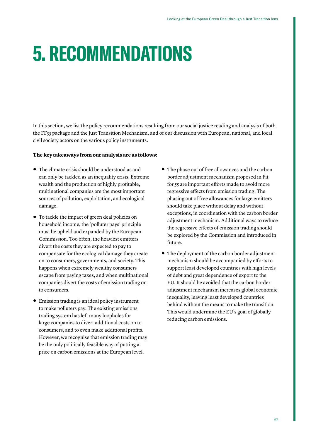# <span id="page-26-0"></span>**5. RECOMMENDATIONS**

In this section, we list the policy recommendations resulting from our social justice reading and analysis of both the FF55 package and the Just Transition Mechanism, and of our discussion with European, national, and local civil society actors on the various policy instruments.

### **The key takeaways from our analysis are as follows:**

- **•** The climate crisis should be understood as and can only be tackled as an inequality crisis. Extreme wealth and the production of highly profitable, multinational companies are the most important sources of pollution, exploitation, and ecological damage.
- **•** To tackle the impact of green deal policies on household income, the 'polluter pays' principle must be upheld and expanded by the European Commission. Too often, the heaviest emitters divert the costs they are expected to pay to compensate for the ecological damage they create on to consumers, governments, and society. This happens when extremely wealthy consumers escape from paying taxes, and when multinational companies divert the costs of emission trading on to consumers.
- **•** Emission trading is an ideal policy instrument to make polluters pay. The existing emissions trading system has left many loopholes for large companies to divert additional costs on to consumers, and to even make additional profits. However, we recognise that emission trading may be the only politically feasible way of putting a price on carbon emissions at the European level.
- **•** The phase out of free allowances and the carbon border adjustment mechanism proposed in Fit for 55 are important efforts made to avoid more regressive effects from emission trading. The phasing out of free allowances for large emitters should take place without delay and without exceptions, in coordination with the carbon border adjustment mechanism. Additional ways to reduce the regressive effects of emission trading should be explored by the Commission and introduced in future.
- **•** The deployment of the carbon border adjustment mechanism should be accompanied by efforts to support least developed countries with high levels of debt and great dependence of export to the EU. It should be avoided that the carbon border adjustment mechanism increases global economic inequality, leaving least developed countries behind without the means to make the transition. This would undermine the EU's goal of globally reducing carbon emissions.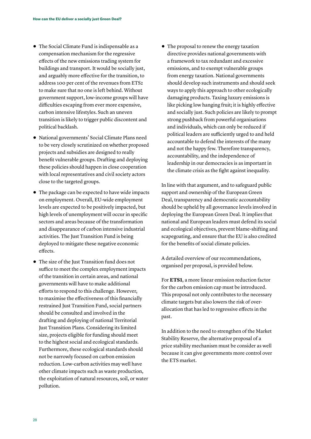- **•** The Social Climate Fund is indispensable as a compensation mechanism for the regressive effects of the new emissions trading system for buildings and transport. It would be socially just, and arguably more effective for the transition, to address 100 per cent of the revenues from ETS2 to make sure that no one is left behind. Without government support, low-income groups will have difficulties escaping from ever more expensive, carbon intensive lifestyles. Such an uneven transition is likely to trigger public discontent and political backlash.
- **•** National governments' Social Climate Plans need to be very closely scrutinized on whether proposed projects and subsidies are designed to really benefit vulnerable groups. Drafting and deploying these policies should happen in close cooperation with local representatives and civil society actors close to the targeted groups.
- **•** The package can be expected to have wide impacts on employment. Overall, EU-wide employment levels are expected to be positively impacted, but high levels of unemployment will occur in specific sectors and areas because of the transformation and disappearance of carbon intensive industrial activities. The Just Transition Fund is being deployed to mitigate these negative economic effects.
- **•** The size of the Just Transition fund does not suffice to meet the complex employment impacts of the transition in certain areas, and national governments will have to make additional efforts to respond to this challenge. However, to maximise the effectiveness of this financially restrained Just Transition Fund, social partners should be consulted and involved in the drafting and deploying of national Territorial Just Transition Plans. Considering its limited size, projects eligible for funding should meet to the highest social and ecological standards. Furthermore, these ecological standards should not be narrowly focused on carbon emission reduction. Low-carbon activities may well have other climate impacts such as waste production, the exploitation of natural resources, soil, or water pollution.

**•** The proposal to renew the energy taxation directive provides national governments with a framework to tax redundant and excessive emissions, and to exempt vulnerable groups from energy taxation. National governments should develop such instruments and should seek ways to apply this approach to other ecologically damaging products. Taxing luxury emissions is like picking low hanging fruit; it is highly effective and socially just. Such policies are likely to prompt strong pushback from powerful organisations and individuals, which can only be reduced if political leaders are sufficiently urged to and held accountable to defend the interests of the many and not the happy few. Therefore transparency, accountability, and the independence of leadership in our democracies is as important in the climate crisis as the fight against inequality.

In line with that argument, and to safeguard public support and ownership of the European Green Deal, transparency and democratic accountability should be upheld by all governance levels involved in deploying the European Green Deal. It implies that national and European leaders must defend its social and ecological objectives, prevent blame-shifting and scapegoating, and ensure that the EU is also credited for the benefits of social climate policies.

A detailed overview of our recommendations, organised per proposal, is provided below.

For **ETS1**, a more linear emission reduction factor for the carbon emission cap must be introduced. This proposal not only contributes to the necessary climate targets but also lowers the risk of overallocation that has led to regressive effects in the past.

In addition to the need to strengthen of the Market Stability Reserve, the alternative proposal of a price stability mechanism must be consider as well because it can give governments more control over the ETS market.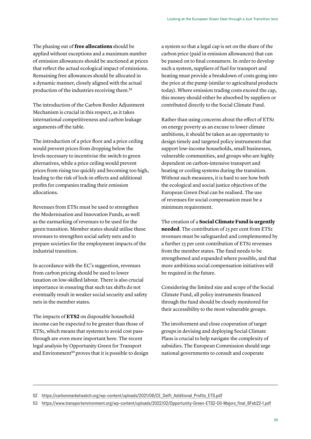The phasing out of **free allocations** should be applied without exceptions and a maximum number of emission allowances should be auctioned at prices that reflect the actual ecological impact of emissions. Remaining free allowances should be allocated in a dynamic manner, closely aligned with the actual production of the industries receiving them.<sup>52</sup>

The introduction of the Carbon Border Adjustment Mechanism is crucial in this respect, as it takes international competitiveness and carbon leakage arguments off the table.

The introduction of a price floor and a price ceiling would prevent prices from dropping below the levels necessary to incentivise the switch to green alternatives, while a price ceiling would prevent prices from rising too quickly and becoming too high, leading to the risk of lock-in effects and additional profits for companies trading their emission allocations.

Revenues from ETS1 must be used to strengthen the Modernisation and Innovation Funds, as well as the earmarking of revenues to be used for the green transition. Member states should utilise these revenues to strengthen social safety nets and to prepare societies for the employment impacts of the industrial transition.

In accordance with the EC's suggestion, revenues from carbon pricing should be used to lower taxation on low-skilled labour. There is also crucial importance in ensuring that such tax shifts do not eventually result in weaker social security and safety nets in the member states.

The impacts of **ETS2** on disposable household income can be expected to be greater than those of ETS1, which means that systems to avoid cost passthrough are even more important here. The recent legal analysis by Opportunity Green for Transport andEnvironment<sup>53</sup> proves that it is possible to design

a system so that a legal cap is set on the share of the carbon price (paid in emission allowances) that can be passed on to final consumers. In order to develop such a system, suppliers of fuel for transport and heating must provide a breakdown of costs going into the price at the pump (similar to agricultural products today). Where emission trading costs exceed the cap, this money should either be absorbed by suppliers or contributed directly to the Social Climate Fund.

Rather than using concerns about the effect of ETS2 on energy poverty as an excuse to lower climate ambitions, it should be taken as an opportunity to design timely and targeted policy instruments that support low-income households, small businesses, vulnerable communities, and groups who are highly dependent on carbon-intensive transport and heating or cooling systems during the transition. Without such measures, it is hard to see how both the ecological and social justice objectives of the European Green Deal can be realised. The use of revenues for social compensation must be a minimum requirement.

The creation of a **Social Climate Fund is urgently needed**. The contribution of 25 per cent from ETS2 revenues must be safeguarded and complemented by a further 25 per cent contribution of ETS2 revenues from the member states. The fund needs to be strengthened and expanded where possible, and that more ambitious social compensation initiatives will be required in the future.

Considering the limited size and scope of the Social Climate Fund, all policy instruments financed through the fund should be closely monitored for their accessibility to the most vulnerable groups.

The involvement and close cooperation of target groups in devising and deploying Social Climate Plans is crucial to help navigate the complexity of subsidies. The European Commission should urge national governments to consult and cooperate

<sup>52</sup> [https://carbonmarketwatch.org/wp-content/uploads/2021/06/CE\\_Delft\\_Additional\\_Profits\\_ETS.pdf](https://carbonmarketwatch.org/wp-content/uploads/2021/06/CE_Delft_Additional_Profits_ETS.pdf)

<sup>53</sup> [https://www.transportenvironment.org/wp-content/uploads/2022/02/Opportunity-Green-ETS2-Oil-Majors\\_final\\_8Feb22-1.pdf](https://www.transportenvironment.org/wp-content/uploads/2022/02/Opportunity-Green-ETS2-Oil-Majors_final_8Feb22-1.pdf)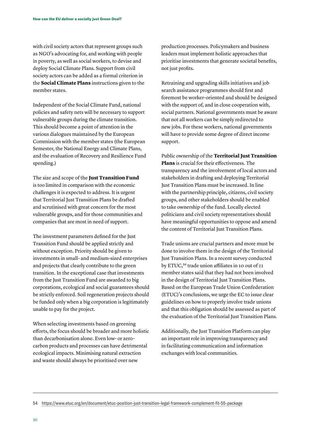with civil society actors that represent groups such as NGO's advocating for, and working with people in poverty, as well as social workers, to devise and deploy Social Climate Plans. Support from civil society actors can be added as a formal criterion in the **Social Climate Plans** instructions given to the member states.

Independent of the Social Climate Fund, national policies and safety nets will be necessary to support vulnerable groups during the climate transition. This should become a point of attention in the various dialogues maintained by the European Commission with the member states (the European Semester, the National Energy and Climate Plans, and the evaluation of Recovery and Resilience Fund spending.)

The size and scope of the **Just Transition Fund** is too limited in comparison with the economic challenges it is expected to address. It is urgent that Territorial Just Transition Plans be drafted and scrutinised with great concern for the most vulnerable groups, and for those communities and companies that are most in need of support.

The investment parameters defined for the Just Transition Fund should be applied strictly and without exception. Priority should be given to investments in small- and medium-sized enterprises and projects that clearly contribute to the green transition. In the exceptional case that investments from the Just Transition Fund are awarded to big corporations, ecological and social guarantees should be strictly enforced. Soil regeneration projects should be funded only when a big corporation is legitimately unable to pay for the project.

When selecting investments based on greening efforts, the focus should be broader and more holistic than decarbonisation alone. Even low- or zerocarbon products and processes can have detrimental ecological impacts. Minimising natural extraction and waste should always be prioritised over new

production processes. Policymakers and business leaders must implement holistic approaches that prioritise investments that generate societal benefits, not just profits.

Retraining and upgrading skills initiatives and job search assistance programmes should first and foremost be worker-oriented and should be designed with the support of, and in close cooperation with, social partners. National governments must be aware that not all workers can be simply redirected to new jobs. For these workers, national governments will have to provide some degree of direct income support.

Public ownership of the **Territorial Just Transition Plans** is crucial for their effectiveness. The transparency and the involvement of local actors and stakeholders in drafting and deploying Territorial Just Transition Plans must be increased. In line with the partnership principle, citizens, civil society groups, and other stakeholders should be enabled to take ownership of the fund. Locally elected politicians and civil society representatives should have meaningful opportunities to oppose and amend the content of Territorial Just Transition Plans.

Trade unions are crucial partners and more must be done to involve them in the design of the Territorial Just Transition Plans. In a recent survey conducted by ETUC,<sup>54</sup> trade union affiliates in 10 out of 21 member states said that they had not been involved in the design of Territorial Just Transition Plans. Based on the European Trade Union Confederation (ETUC)'s conclusions, we urge the EC to issue clear guidelines on how to properly involve trade unions and that this obligation should be assessed as part of the evaluation of the Territorial Just Transition Plans.

Additionally, the Just Transition Platform can play an important role in improving transparency and in facilitating communication and information exchanges with local communities.

54 <https://www.etuc.org/en/document/etuc-position-just-transition-legal-framework-complement-fit-55-package>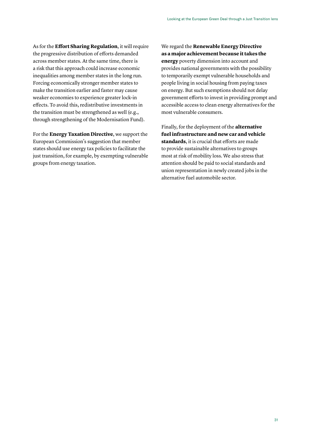As for the **Effort Sharing Regulation**, it will require the progressive distribution of efforts demanded across member states. At the same time, there is a risk that this approach could increase economic inequalities among member states in the long run. Forcing economically stronger member states to make the transition earlier and faster may cause weaker economies to experience greater lock-in effects. To avoid this, redistributive investments in the transition must be strengthened as well (e.g., through strengthening of the Modernisation Fund).

For the **Energy Taxation Directive**, we support the European Commission's suggestion that member states should use energy tax policies to facilitate the just transition, for example, by exempting vulnerable groups from energy taxation.

We regard the **Renewable Energy Directive as a major achievement because it takes the energy** poverty dimension into account and provides national governments with the possibility to temporarily exempt vulnerable households and people living in social housing from paying taxes on energy. But such exemptions should not delay government efforts to invest in providing prompt and accessible access to clean energy alternatives for the most vulnerable consumers.

Finally, for the deployment of the **alternative fuel infrastructure and new car and vehicle standards**, it is crucial that efforts are made to provide sustainable alternatives to groups most at risk of mobility loss. We also stress that attention should be paid to social standards and union representation in newly created jobs in the alternative fuel automobile sector.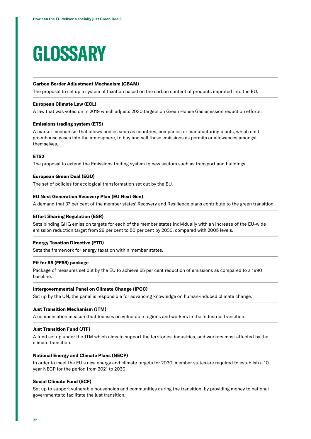# <span id="page-31-0"></span>**GLOSSARY**

### **Carbon Border Adjustment Mechanism (CBAM)**

The proposal to set up a system of taxation based on the carbon content of products improted into the EU.

#### **European Climate Law (ECL)**

A law that was voted on in 2019 which adjusts 2030 targets on Green House Gas emission reduction efforts.

### **Emissions trading system (ETS)**

A market mechanism that allows bodies such as countries, companies or manufacturing plants, which emit greenhouse gases into the atmosphere, to buy and sell these emissions as permits or allowances amongst themselves.

### **ETS2**

The proposal to extend the Emissions trading system to new sectors such as transport and buildings.

#### **European Green Deal (EGD)**

The set of policies for ecological transformation set out by the EU.

#### **EU Next Generation Recovery Plan (EU Next Gen)**

A demand that 37 per cent of the member states' Recovery and Resilience plans contribute to the green transition.

#### **Effort Sharing Regulation (ESR)**

Sets binding GHG emission targets for each of the member states individually with an increase of the EU-wide emission reduction target from 29 per cent to 50 per cent by 2030, compared with 2005 levels.

### **Energy Taxation Directive (ETD)**

Sets the framework for energy taxation within member states.

#### **Fit for 55 (FF55) package**

Package of measures set out by the EU to achieve 55 per cent reduction of emissions as compared to a 1990 baseline.

### **Intergovernmental Panel on Climate Change (IPCC)**

Set up by the UN, the panel is responsible for advancing knowledge on human-induced climate change.

### **Just Transition Mechanism (JTM)**

A compensation measure that focuses on vulnerable regions and workers in the industrial transition.

### **Just Transition Fund (JTF)**

A fund set up under the JTM which aims to support the territories, industries, and workers most affected by the climate transition.

#### **National Energy and Climate Plans (NECP)**

In order to meet the EU's new energy and climate targets for 2030, member states are required to establish a 10 year NECP for the period from 2021 to 2030

### **Social Climate Fund (SCF)**

Set up to support vulnerable households and communities during the transition, by providing money to national governments to facilitate the just transition.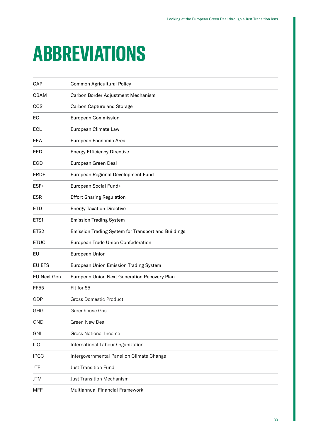# <span id="page-32-0"></span>**ABBREVIATIONS**

| CAP                | Common Agricultural Policy                          |
|--------------------|-----------------------------------------------------|
| <b>CBAM</b>        | Carbon Border Adjustment Mechanism                  |
| <b>CCS</b>         | <b>Carbon Capture and Storage</b>                   |
| EC                 | <b>European Commission</b>                          |
| <b>ECL</b>         | European Climate Law                                |
| EEA                | European Economic Area                              |
| EED                | <b>Energy Efficiency Directive</b>                  |
| EGD                | European Green Deal                                 |
| <b>ERDF</b>        | European Regional Development Fund                  |
| ESF+               | European Social Fund+                               |
| <b>ESR</b>         | <b>Effort Sharing Regulation</b>                    |
| <b>ETD</b>         | <b>Energy Taxation Directive</b>                    |
| ETS1               | <b>Emission Trading System</b>                      |
| ETS <sub>2</sub>   | Emission Trading System for Transport and Buildings |
| <b>ETUC</b>        | European Trade Union Confederation                  |
| EU                 | European Union                                      |
| EU ETS             | European Union Emission Trading System              |
| <b>EU Next Gen</b> | European Union Next Generation Recovery Plan        |
| <b>FF55</b>        | Fit for 55                                          |
| GDP                | <b>Gross Domestic Product</b>                       |
| GHG                | Greenhouse Gas                                      |
| <b>GND</b>         | Green New Deal                                      |
| GNI                | <b>Gross National Income</b>                        |
| ILO                | International Labour Organization                   |
| <b>IPCC</b>        | Intergovernmental Panel on Climate Change           |
| JTF                | <b>Just Transition Fund</b>                         |
| <b>JTM</b>         | <b>Just Transition Mechanism</b>                    |
| <b>MFF</b>         | Multiannual Financial Framework                     |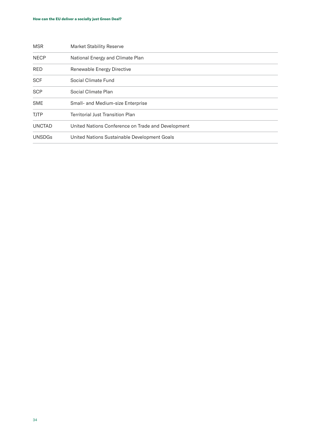| <b>MSR</b>    | <b>Market Stability Reserve</b>                    |
|---------------|----------------------------------------------------|
| <b>NECP</b>   | National Energy and Climate Plan                   |
| <b>RED</b>    | Renewable Energy Directive                         |
| <b>SCF</b>    | Social Climate Fund                                |
| <b>SCP</b>    | Social Climate Plan                                |
| <b>SME</b>    | Small- and Medium-size Enterprise                  |
| <b>TJTP</b>   | <b>Territorial Just Transition Plan</b>            |
| <b>UNCTAD</b> | United Nations Conference on Trade and Development |
| <b>UNSDGs</b> | United Nations Sustainable Development Goals       |